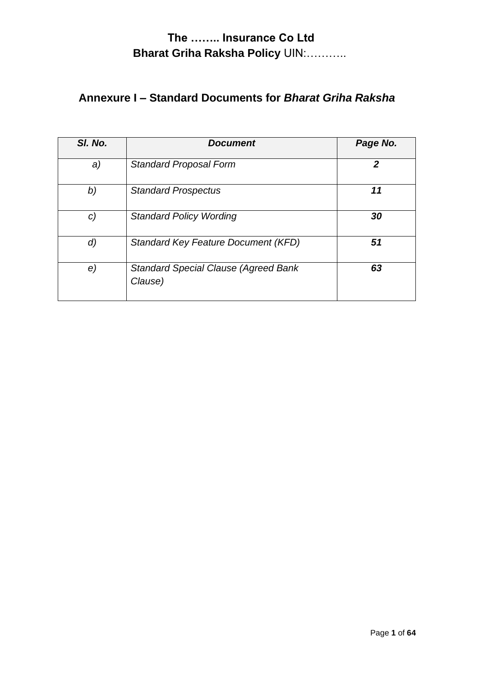# **Annexure I – Standard Documents for** *Bharat Griha Raksha*

| SI. No. | <b>Document</b>                                        | Page No.       |
|---------|--------------------------------------------------------|----------------|
| a)      | <b>Standard Proposal Form</b>                          | $\overline{2}$ |
| b)      | <b>Standard Prospectus</b>                             | 11             |
| C)      | <b>Standard Policy Wording</b>                         | 30             |
| d)      | <b>Standard Key Feature Document (KFD)</b>             | 51             |
| e)      | <b>Standard Special Clause (Agreed Bank</b><br>Clause) | 63             |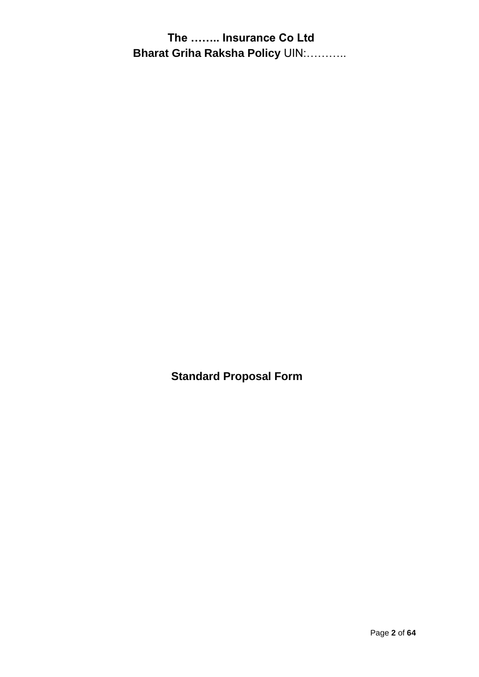**Standard Proposal Form**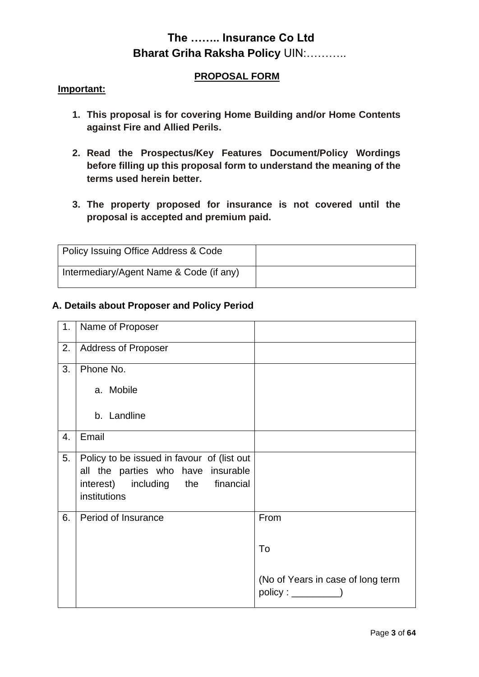#### **PROPOSAL FORM**

#### **Important:**

- **1. This proposal is for covering Home Building and/or Home Contents against Fire and Allied Perils.**
- **2. Read the Prospectus/Key Features Document/Policy Wordings before filling up this proposal form to understand the meaning of the terms used herein better.**
- **3. The property proposed for insurance is not covered until the proposal is accepted and premium paid.**

| Policy Issuing Office Address & Code    |  |
|-----------------------------------------|--|
| Intermediary/Agent Name & Code (if any) |  |

#### **A. Details about Proposer and Policy Period**

| 1. | Name of Proposer                                                                                                                      |                                   |
|----|---------------------------------------------------------------------------------------------------------------------------------------|-----------------------------------|
| 2. | <b>Address of Proposer</b>                                                                                                            |                                   |
| 3. | Phone No.                                                                                                                             |                                   |
|    | a. Mobile                                                                                                                             |                                   |
|    | b. Landline                                                                                                                           |                                   |
| 4. | Email                                                                                                                                 |                                   |
| 5. | Policy to be issued in favour of (list out<br>all the parties who have insurable<br>interest) including the financial<br>institutions |                                   |
| 6. | Period of Insurance                                                                                                                   | From                              |
|    |                                                                                                                                       | To                                |
|    |                                                                                                                                       | (No of Years in case of long term |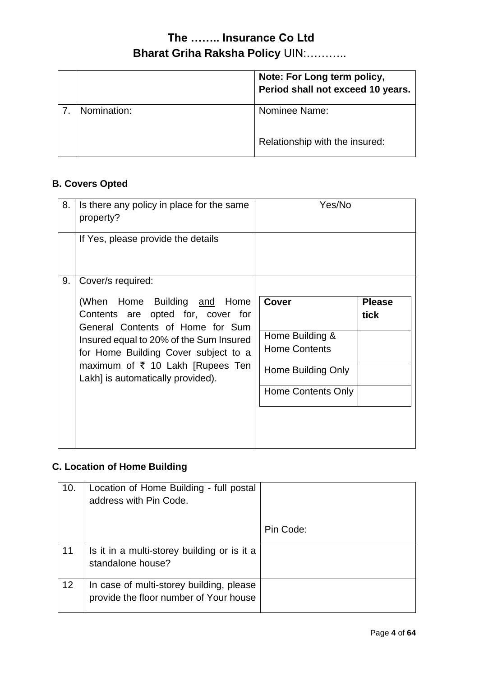|             | Note: For Long term policy,<br>Period shall not exceed 10 years. |
|-------------|------------------------------------------------------------------|
| Nomination: | Nominee Name:                                                    |
|             | Relationship with the insured:                                   |

# **B. Covers Opted**

| 8. | Is there any policy in place for the same<br>property?                                                                                                                                                                                                                                            | Yes/No                                                                                                     |                       |
|----|---------------------------------------------------------------------------------------------------------------------------------------------------------------------------------------------------------------------------------------------------------------------------------------------------|------------------------------------------------------------------------------------------------------------|-----------------------|
|    | If Yes, please provide the details                                                                                                                                                                                                                                                                |                                                                                                            |                       |
| 9. | Cover/s required:<br>(When Home Building and Home<br>Contents are opted for, cover for<br>General Contents of Home for Sum<br>Insured equal to 20% of the Sum Insured<br>for Home Building Cover subject to a<br>maximum of $\bar{\tau}$ 10 Lakh [Rupees Ten<br>Lakh] is automatically provided). | <b>Cover</b><br>Home Building &<br><b>Home Contents</b><br>Home Building Only<br><b>Home Contents Only</b> | <b>Please</b><br>tick |

### **C. Location of Home Building**

| 10. | Location of Home Building - full postal<br>address with Pin Code.                  |           |
|-----|------------------------------------------------------------------------------------|-----------|
|     |                                                                                    | Pin Code: |
| 11  | Is it in a multi-storey building or is it a<br>standalone house?                   |           |
| 12  | In case of multi-storey building, please<br>provide the floor number of Your house |           |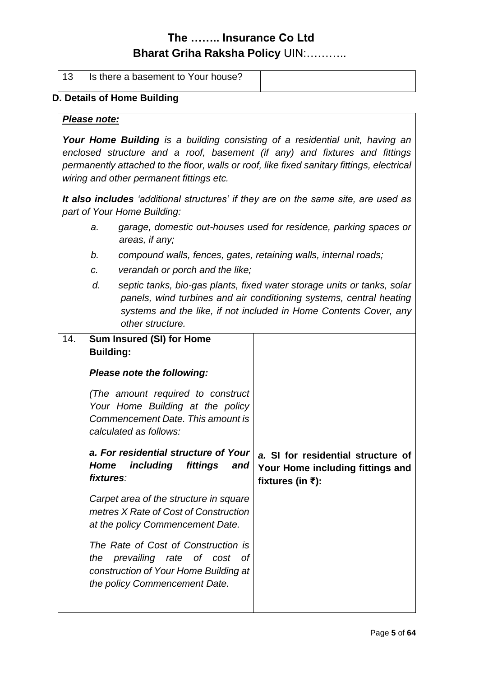| 13                                                                                                                                                                                                                                                                                                          |                   | Is there a basement to Your house?                                                                                                          |                                                                                                                                                                                                                     |
|-------------------------------------------------------------------------------------------------------------------------------------------------------------------------------------------------------------------------------------------------------------------------------------------------------------|-------------------|---------------------------------------------------------------------------------------------------------------------------------------------|---------------------------------------------------------------------------------------------------------------------------------------------------------------------------------------------------------------------|
| D. Details of Home Building                                                                                                                                                                                                                                                                                 |                   |                                                                                                                                             |                                                                                                                                                                                                                     |
| Please note:                                                                                                                                                                                                                                                                                                |                   |                                                                                                                                             |                                                                                                                                                                                                                     |
| <b>Your Home Building</b> is a building consisting of a residential unit, having an<br>enclosed structure and a roof, basement (if any) and fixtures and fittings<br>permanently attached to the floor, walls or roof, like fixed sanitary fittings, electrical<br>wiring and other permanent fittings etc. |                   |                                                                                                                                             |                                                                                                                                                                                                                     |
|                                                                                                                                                                                                                                                                                                             |                   | part of Your Home Building:                                                                                                                 | It also includes 'additional structures' if they are on the same site, are used as                                                                                                                                  |
|                                                                                                                                                                                                                                                                                                             | a.                | areas, if any;                                                                                                                              | garage, domestic out-houses used for residence, parking spaces or                                                                                                                                                   |
|                                                                                                                                                                                                                                                                                                             | b.                | compound walls, fences, gates, retaining walls, internal roads;                                                                             |                                                                                                                                                                                                                     |
|                                                                                                                                                                                                                                                                                                             | c.                | verandah or porch and the like;                                                                                                             |                                                                                                                                                                                                                     |
|                                                                                                                                                                                                                                                                                                             | d.                | other structure.                                                                                                                            | septic tanks, bio-gas plants, fixed water storage units or tanks, solar<br>panels, wind turbines and air conditioning systems, central heating<br>systems and the like, if not included in Home Contents Cover, any |
| 14.                                                                                                                                                                                                                                                                                                         | <b>Building:</b>  | <b>Sum Insured (SI) for Home</b>                                                                                                            |                                                                                                                                                                                                                     |
|                                                                                                                                                                                                                                                                                                             |                   | Please note the following:                                                                                                                  |                                                                                                                                                                                                                     |
|                                                                                                                                                                                                                                                                                                             |                   | (The amount required to construct<br>Your Home Building at the policy<br>Commencement Date. This amount is<br>calculated as follows:        |                                                                                                                                                                                                                     |
|                                                                                                                                                                                                                                                                                                             | Home<br>fixtures: | a. For residential structure of Your<br>including<br>fittings<br>and                                                                        | a. SI for residential structure of<br>Your Home including fittings and<br>fixtures (in $\bar{z}$ ):                                                                                                                 |
|                                                                                                                                                                                                                                                                                                             |                   | Carpet area of the structure in square<br>metres X Rate of Cost of Construction<br>at the policy Commencement Date.                         |                                                                                                                                                                                                                     |
|                                                                                                                                                                                                                                                                                                             | the               | The Rate of Cost of Construction is<br>prevailing rate of cost of<br>construction of Your Home Building at<br>the policy Commencement Date. |                                                                                                                                                                                                                     |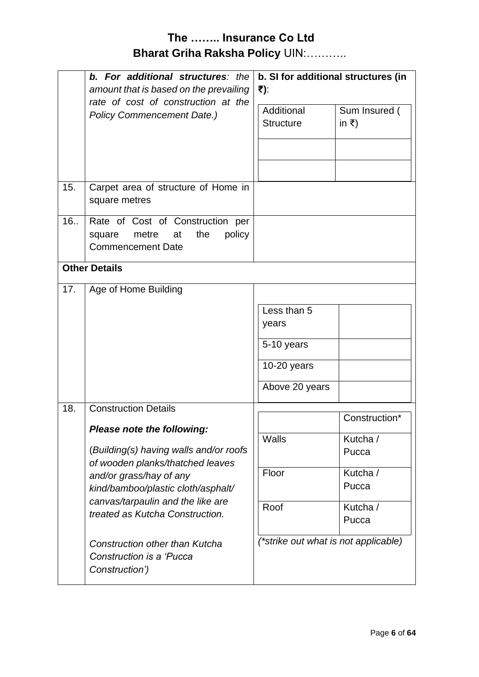|                                                                          | b. For additional structures: the<br>amount that is based on the prevailing                                                                                                                                                                                                                                            | b. SI for additional structures (in<br>₹):                                                                                    |  |
|--------------------------------------------------------------------------|------------------------------------------------------------------------------------------------------------------------------------------------------------------------------------------------------------------------------------------------------------------------------------------------------------------------|-------------------------------------------------------------------------------------------------------------------------------|--|
| rate of cost of construction at the<br><b>Policy Commencement Date.)</b> | Additional<br>Sum Insured (<br>in $\bar{z}$ )<br><b>Structure</b>                                                                                                                                                                                                                                                      |                                                                                                                               |  |
| 15.                                                                      | Carpet area of structure of Home in<br>square metres                                                                                                                                                                                                                                                                   |                                                                                                                               |  |
| 16.                                                                      | Rate of Cost of Construction per<br>the<br>metre<br>policy<br>square<br>at<br><b>Commencement Date</b>                                                                                                                                                                                                                 |                                                                                                                               |  |
|                                                                          | <b>Other Details</b>                                                                                                                                                                                                                                                                                                   |                                                                                                                               |  |
| 17.                                                                      | Age of Home Building                                                                                                                                                                                                                                                                                                   |                                                                                                                               |  |
|                                                                          |                                                                                                                                                                                                                                                                                                                        | Less than 5<br>years<br>5-10 years<br>$10-20$ years<br>Above 20 years                                                         |  |
| 18.                                                                      | <b>Construction Details</b>                                                                                                                                                                                                                                                                                            | Construction*                                                                                                                 |  |
|                                                                          | Please note the following:<br>(Building(s) having walls and/or roofs<br>of wooden planks/thatched leaves<br>and/or grass/hay of any<br>kind/bamboo/plastic cloth/asphalt/<br>canvas/tarpaulin and the like are<br>treated as Kutcha Construction.<br><b>Construction other than Kutcha</b><br>Construction is a 'Pucca | Walls<br>Kutcha /<br>Pucca<br>Floor<br>Kutcha /<br>Pucca<br>Roof<br>Kutcha /<br>Pucca<br>(*strike out what is not applicable) |  |
|                                                                          | Construction')                                                                                                                                                                                                                                                                                                         |                                                                                                                               |  |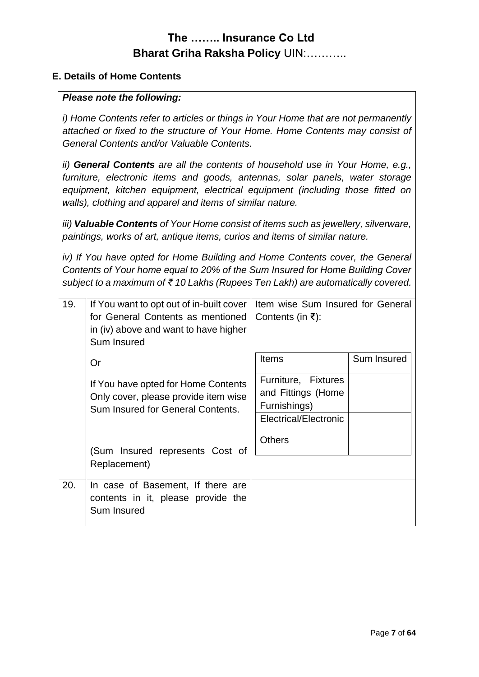#### **E. Details of Home Contents**

#### *Please note the following:*

*i) Home Contents refer to articles or things in Your Home that are not permanently attached or fixed to the structure of Your Home. Home Contents may consist of General Contents and/or Valuable Contents.*

*ii) General Contents are all the contents of household use in Your Home, e.g., furniture, electronic items and goods, antennas, solar panels, water storage equipment, kitchen equipment, electrical equipment (including those fitted on walls), clothing and apparel and items of similar nature.*

*iii) Valuable Contents of Your Home consist of items such as jewellery, silverware, paintings, works of art, antique items, curios and items of similar nature.*

*iv) If You have opted for Home Building and Home Contents cover, the General Contents of Your home equal to 20% of the Sum Insured for Home Building Cover subject to a maximum of ₹ 10 Lakhs (Rupees Ten Lakh) are automatically covered.*

| 19. | If You want to opt out of in-built cover<br>for General Contents as mentioned<br>in (iv) above and want to have higher<br>Sum Insured | Item wise Sum Insured for General<br>Contents (in ₹):                              |             |
|-----|---------------------------------------------------------------------------------------------------------------------------------------|------------------------------------------------------------------------------------|-------------|
|     | Or                                                                                                                                    | <b>Items</b>                                                                       | Sum Insured |
|     | If You have opted for Home Contents<br>Only cover, please provide item wise<br>Sum Insured for General Contents.                      | Furniture, Fixtures<br>and Fittings (Home<br>Furnishings)<br>Electrical/Electronic |             |
|     | (Sum Insured represents Cost of<br>Replacement)                                                                                       | <b>Others</b>                                                                      |             |
| 20. | In case of Basement, If there are<br>contents in it, please provide the<br>Sum Insured                                                |                                                                                    |             |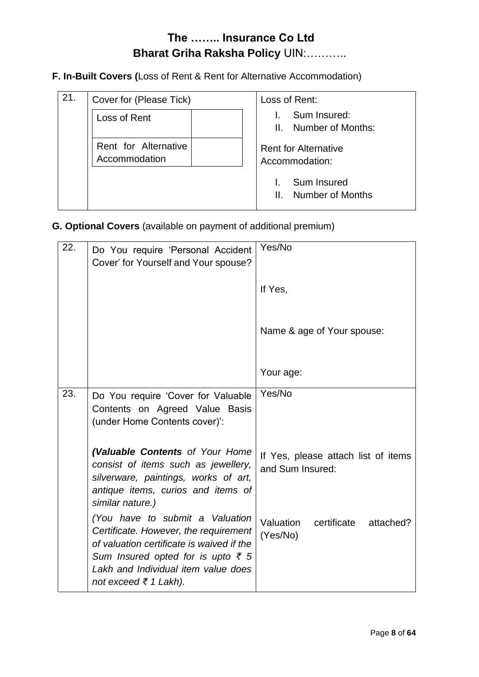**F. In-Built Covers (**Loss of Rent & Rent for Alternative Accommodation)

| 21. | Cover for (Please Tick)               | Loss of Rent:                                 |
|-----|---------------------------------------|-----------------------------------------------|
|     | Loss of Rent                          | Sum Insured:<br>Number of Months:<br>Ш.       |
|     | Rent for Alternative<br>Accommodation | <b>Rent for Alternative</b><br>Accommodation: |
|     |                                       | Sum Insured<br>Number of Months<br>Ш.         |

### **G. Optional Covers** (available on payment of additional premium)

| 22. | Do You require 'Personal Accident<br>Cover' for Yourself and Your spouse?                                                                                                                                                            | Yes/No                                                  |
|-----|--------------------------------------------------------------------------------------------------------------------------------------------------------------------------------------------------------------------------------------|---------------------------------------------------------|
|     |                                                                                                                                                                                                                                      | If Yes,                                                 |
|     |                                                                                                                                                                                                                                      | Name & age of Your spouse:                              |
|     |                                                                                                                                                                                                                                      | Your age:                                               |
| 23. | Do You require 'Cover for Valuable<br>Contents on Agreed Value Basis<br>(under Home Contents cover)':                                                                                                                                | Yes/No                                                  |
|     | (Valuable Contents of Your Home<br>consist of items such as jewellery,<br>silverware, paintings, works of art,<br>antique items, curios and items of<br>similar nature.)                                                             | If Yes, please attach list of items<br>and Sum Insured: |
|     | (You have to submit a Valuation<br>Certificate. However, the requirement<br>of valuation certificate is waived if the<br>Sum Insured opted for is upto $\bar{\xi}$ 5<br>Lakh and Individual item value does<br>not exceed ₹ 1 Lakh). | Valuation certificate<br>attached?<br>(Yes/No)          |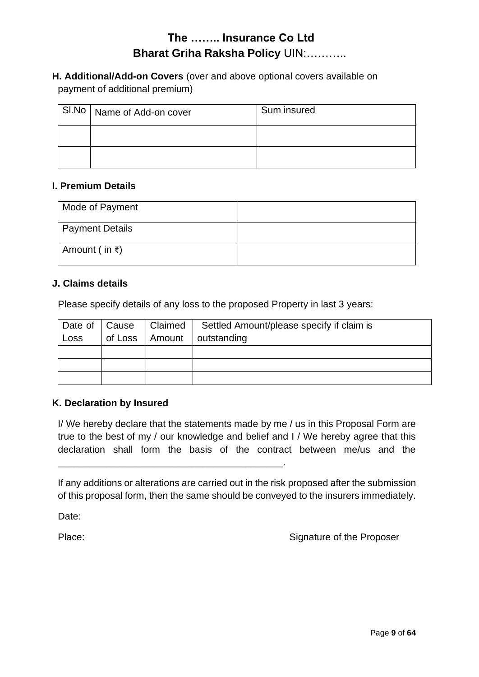**H. Additional/Add-on Covers** (over and above optional covers available on payment of additional premium)

| SI.No   Name of Add-on cover | Sum insured |
|------------------------------|-------------|
|                              |             |
|                              |             |

#### **I. Premium Details**

| Mode of Payment         |  |
|-------------------------|--|
| <b>Payment Details</b>  |  |
| Amount ( in $\bar{z}$ ) |  |

#### **J. Claims details**

Please specify details of any loss to the proposed Property in last 3 years:

| Date of   Cause | Claimed | Settled Amount/please specify if claim is |
|-----------------|---------|-------------------------------------------|
| Loss            |         | of Loss   Amount   outstanding            |
|                 |         |                                           |
|                 |         |                                           |
|                 |         |                                           |

#### **K. Declaration by Insured**

I/ We hereby declare that the statements made by me / us in this Proposal Form are true to the best of my / our knowledge and belief and I / We hereby agree that this declaration shall form the basis of the contract between me/us and the

If any additions or alterations are carried out in the risk proposed after the submission of this proposal form, then the same should be conveyed to the insurers immediately.

\_\_\_\_\_\_\_\_\_\_\_\_\_\_\_\_\_\_\_\_\_\_\_\_\_\_\_\_\_\_\_\_\_\_\_\_\_\_\_\_\_\_.

Date:

Place: Place: Signature of the Proposer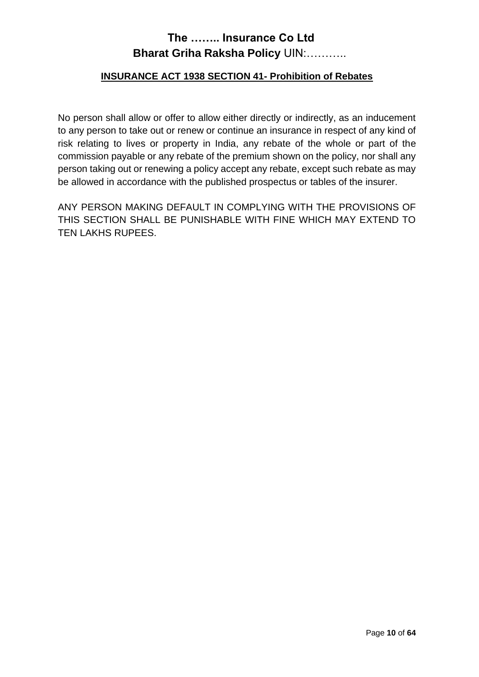#### **INSURANCE ACT 1938 SECTION 41- Prohibition of Rebates**

No person shall allow or offer to allow either directly or indirectly, as an inducement to any person to take out or renew or continue an insurance in respect of any kind of risk relating to lives or property in India, any rebate of the whole or part of the commission payable or any rebate of the premium shown on the policy, nor shall any person taking out or renewing a policy accept any rebate, except such rebate as may be allowed in accordance with the published prospectus or tables of the insurer.

ANY PERSON MAKING DEFAULT IN COMPLYING WITH THE PROVISIONS OF THIS SECTION SHALL BE PUNISHABLE WITH FINE WHICH MAY EXTEND TO TEN LAKHS RUPEES.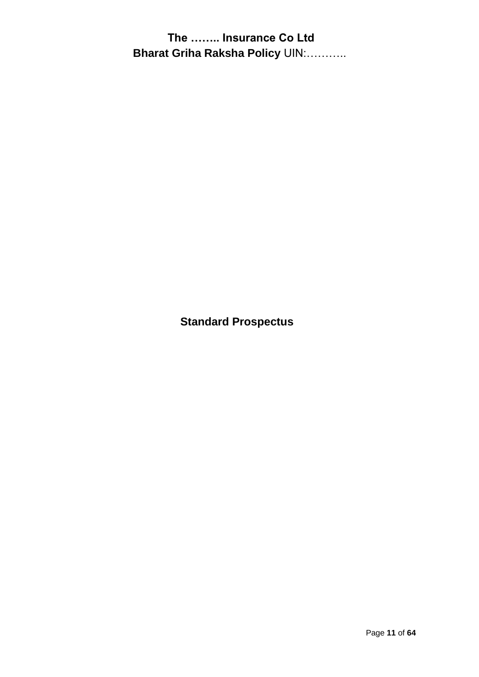**Standard Prospectus**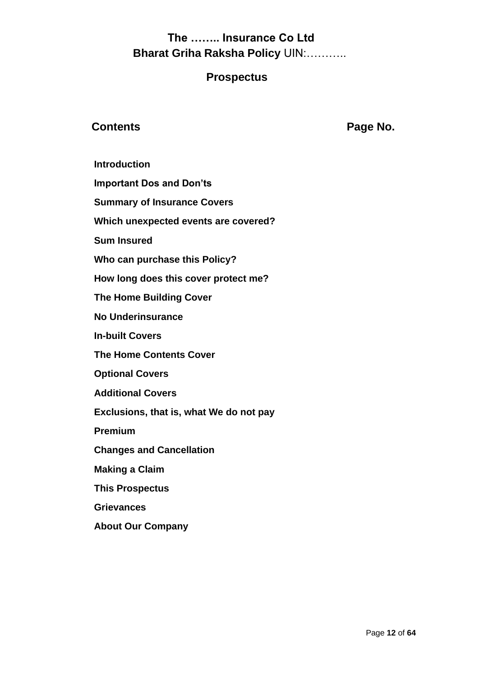### **Prospectus**

### **Contents Page No.**

**Introduction**

**Important Dos and Don'ts**

**Summary of Insurance Covers**

**Which unexpected events are covered?**

**Sum Insured**

**Who can purchase this Policy?**

**How long does this cover protect me?**

**The Home Building Cover**

**No Underinsurance**

**In-built Covers**

**The Home Contents Cover**

**Optional Covers**

**Additional Covers** 

**Exclusions, that is, what We do not pay**

**Premium**

**Changes and Cancellation**

**Making a Claim**

**This Prospectus**

**Grievances**

**About Our Company**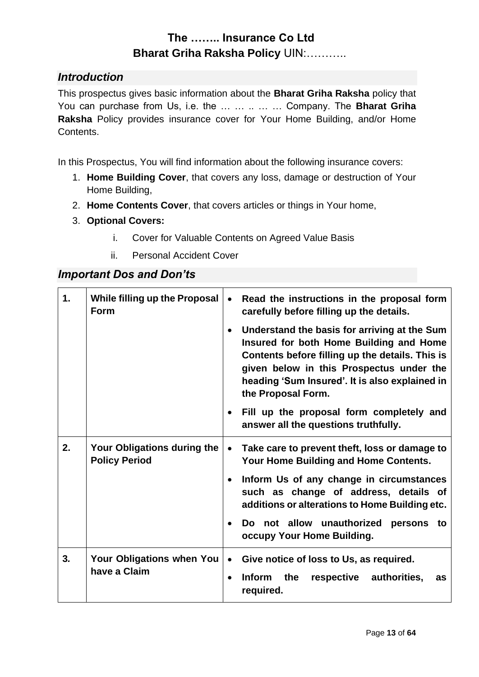### *Introduction*

This prospectus gives basic information about the **Bharat Griha Raksha** policy that You can purchase from Us, i.e. the … … .. … … Company. The **Bharat Griha Raksha** Policy provides insurance cover for Your Home Building, and/or Home Contents.

In this Prospectus, You will find information about the following insurance covers:

- 1. **Home Building Cover**, that covers any loss, damage or destruction of Your Home Building,
- 2. **Home Contents Cover**, that covers articles or things in Your home,
- 3. **Optional Covers:**
	- i. Cover for Valuable Contents on Agreed Value Basis
	- ii. Personal Accident Cover

#### *Important Dos and Don'ts*

| 1. | While filling up the Proposal<br>Form               | Read the instructions in the proposal form<br>carefully before filling up the details.<br>Understand the basis for arriving at the Sum<br>$\bullet$<br>Insured for both Home Building and Home<br>Contents before filling up the details. This is<br>given below in this Prospectus under the<br>heading 'Sum Insured'. It is also explained in<br>the Proposal Form.<br>Fill up the proposal form completely and<br>$\bullet$<br>answer all the questions truthfully. |
|----|-----------------------------------------------------|------------------------------------------------------------------------------------------------------------------------------------------------------------------------------------------------------------------------------------------------------------------------------------------------------------------------------------------------------------------------------------------------------------------------------------------------------------------------|
| 2. | Your Obligations during the<br><b>Policy Period</b> | Take care to prevent theft, loss or damage to<br>$\bullet$<br>Your Home Building and Home Contents.<br>Inform Us of any change in circumstances<br>$\bullet$<br>such as change of address, details of<br>additions or alterations to Home Building etc.<br>Do not allow unauthorized persons to<br>$\bullet$<br>occupy Your Home Building.                                                                                                                             |
| 3. | <b>Your Obligations when You</b><br>have a Claim    | Give notice of loss to Us, as required.<br>$\bullet$<br><b>Inform</b><br>the<br>respective authorities,<br>as<br>required.                                                                                                                                                                                                                                                                                                                                             |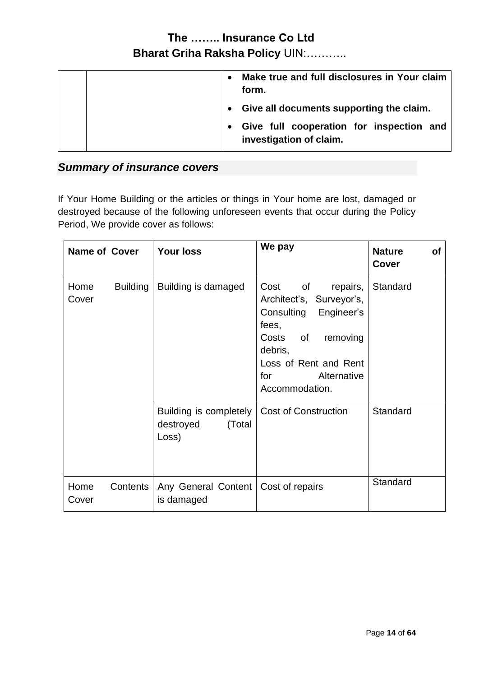|  | $\bullet$ | Make true and full disclosures in Your claim<br>form.               |
|--|-----------|---------------------------------------------------------------------|
|  |           | Give all documents supporting the claim.                            |
|  |           | Give full cooperation for inspection and<br>investigation of claim. |

# *Summary of insurance covers*

If Your Home Building or the articles or things in Your home are lost, damaged or destroyed because of the following unforeseen events that occur during the Policy Period, We provide cover as follows:

| <b>Name of Cover</b> |                 | <b>Your loss</b>                                       | We pay                                                                                                                                                                                      | <b>Nature</b><br>of<br><b>Cover</b> |
|----------------------|-----------------|--------------------------------------------------------|---------------------------------------------------------------------------------------------------------------------------------------------------------------------------------------------|-------------------------------------|
| Home<br>Cover        | <b>Building</b> | Building is damaged                                    | Cost<br>of<br>repairs,<br>Architect's, Surveyor's,<br>Consulting<br>Engineer's<br>fees,<br>Costs of<br>removing<br>debris,<br>Loss of Rent and Rent<br>for<br>Alternative<br>Accommodation. | Standard                            |
|                      |                 | Building is completely<br>destroyed<br>(Total<br>Loss) | <b>Cost of Construction</b>                                                                                                                                                                 | Standard                            |
| Home<br>Cover        | Contents        | Any General Content   Cost of repairs<br>is damaged    |                                                                                                                                                                                             | Standard                            |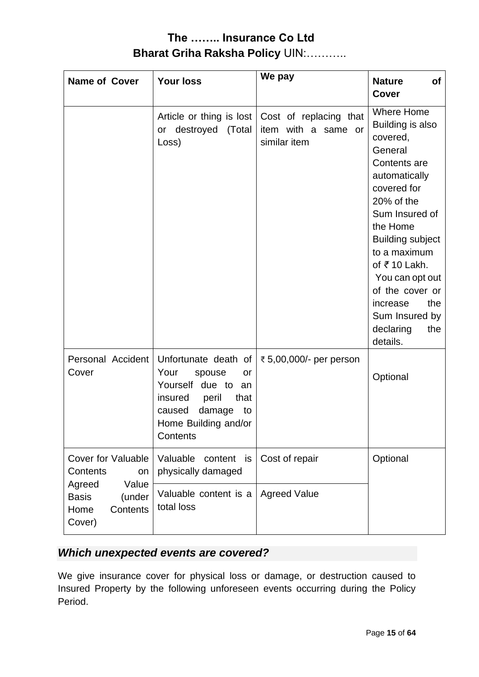| <b>Name of Cover</b>                                                    | <b>Your loss</b>                                                                                                                                                | We pay                                                        | <b>Nature</b><br><b>of</b><br><b>Cover</b>                                                                                                                                                                                                                                                                                                 |
|-------------------------------------------------------------------------|-----------------------------------------------------------------------------------------------------------------------------------------------------------------|---------------------------------------------------------------|--------------------------------------------------------------------------------------------------------------------------------------------------------------------------------------------------------------------------------------------------------------------------------------------------------------------------------------------|
|                                                                         | Article or thing is lost<br>or destroyed<br>(Total<br>Loss)                                                                                                     | Cost of replacing that<br>item with a same or<br>similar item | <b>Where Home</b><br>Building is also<br>covered,<br>General<br>Contents are<br>automatically<br>covered for<br>20% of the<br>Sum Insured of<br>the Home<br><b>Building subject</b><br>to a maximum<br>of $\bar{\tau}$ 10 Lakh.<br>You can opt out<br>of the cover or<br>the<br>increase<br>Sum Insured by<br>declaring<br>the<br>details. |
| Personal Accident<br>Cover                                              | Unfortunate death of<br>Your<br>spouse<br>or<br>Yourself due to<br>an<br>peril<br>insured<br>that<br>damage<br>caused<br>to<br>Home Building and/or<br>Contents | ₹ 5,00,000/- per person                                       | Optional                                                                                                                                                                                                                                                                                                                                   |
| <b>Cover for Valuable</b><br>Contents<br>on                             | Valuable<br>content<br>is<br>physically damaged                                                                                                                 | Cost of repair                                                | Optional                                                                                                                                                                                                                                                                                                                                   |
| Value<br>Agreed<br><b>Basis</b><br>(under<br>Home<br>Contents<br>Cover) | Valuable content is a<br>total loss                                                                                                                             | <b>Agreed Value</b>                                           |                                                                                                                                                                                                                                                                                                                                            |

# *Which unexpected events are covered?*

We give insurance cover for physical loss or damage, or destruction caused to Insured Property by the following unforeseen events occurring during the Policy Period.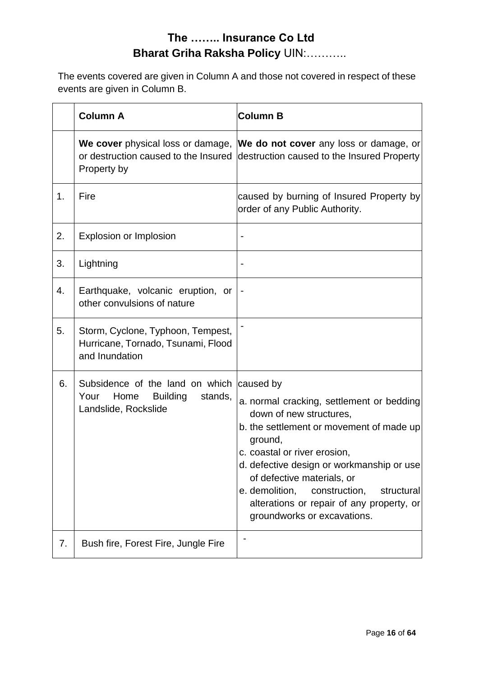The events covered are given in Column A and those not covered in respect of these events are given in Column B.

|    | <b>Column A</b>                                                                                                 | <b>Column B</b>                                                                                                                                                                                                                                                                                                                                                     |
|----|-----------------------------------------------------------------------------------------------------------------|---------------------------------------------------------------------------------------------------------------------------------------------------------------------------------------------------------------------------------------------------------------------------------------------------------------------------------------------------------------------|
|    | Property by                                                                                                     | We cover physical loss or damage, We do not cover any loss or damage, or<br>or destruction caused to the Insured destruction caused to the Insured Property                                                                                                                                                                                                         |
| 1. | Fire                                                                                                            | caused by burning of Insured Property by<br>order of any Public Authority.                                                                                                                                                                                                                                                                                          |
| 2. | <b>Explosion or Implosion</b>                                                                                   | $\qquad \qquad \blacksquare$                                                                                                                                                                                                                                                                                                                                        |
| 3. | Lightning                                                                                                       |                                                                                                                                                                                                                                                                                                                                                                     |
| 4. | Earthquake, volcanic eruption, or<br>other convulsions of nature                                                |                                                                                                                                                                                                                                                                                                                                                                     |
| 5. | Storm, Cyclone, Typhoon, Tempest,<br>Hurricane, Tornado, Tsunami, Flood<br>and Inundation                       |                                                                                                                                                                                                                                                                                                                                                                     |
| 6. | Subsidence of the land on which caused by<br><b>Building</b><br>Your<br>Home<br>stands,<br>Landslide, Rockslide | a. normal cracking, settlement or bedding<br>down of new structures,<br>b. the settlement or movement of made up<br>ground,<br>c. coastal or river erosion,<br>d. defective design or workmanship or use<br>of defective materials, or<br>e. demolition,<br>construction,<br>structural<br>alterations or repair of any property, or<br>groundworks or excavations. |
| 7. | Bush fire, Forest Fire, Jungle Fire                                                                             |                                                                                                                                                                                                                                                                                                                                                                     |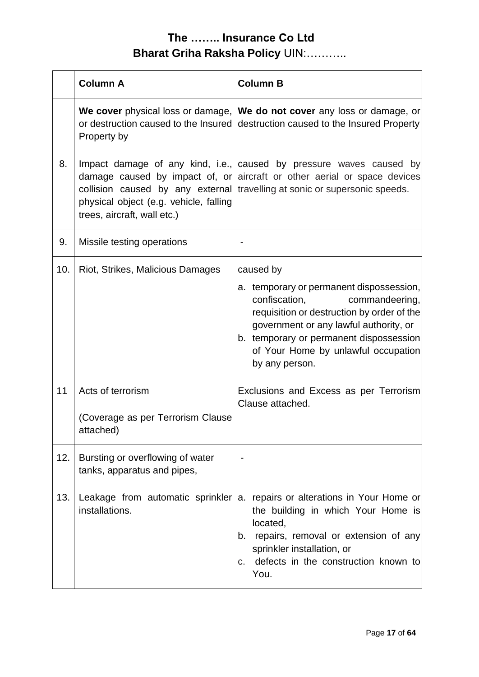|     | <b>Column A</b>                                                       | <b>Column B</b>                                                                                                                                                                                                                                                                      |
|-----|-----------------------------------------------------------------------|--------------------------------------------------------------------------------------------------------------------------------------------------------------------------------------------------------------------------------------------------------------------------------------|
|     | Property by                                                           | We cover physical loss or damage, We do not cover any loss or damage, or<br>or destruction caused to the Insured destruction caused to the Insured Property                                                                                                                          |
| 8.  | physical object (e.g. vehicle, falling<br>trees, aircraft, wall etc.) | Impact damage of any kind, i.e., caused by pressure waves caused by<br>damage caused by impact of, or aircraft or other aerial or space devices<br>collision caused by any external travelling at sonic or supersonic speeds.                                                        |
| 9.  | Missile testing operations                                            |                                                                                                                                                                                                                                                                                      |
| 10. | Riot, Strikes, Malicious Damages                                      | caused by<br>a. temporary or permanent dispossession,<br>confiscation,<br>commandeering,<br>requisition or destruction by order of the<br>government or any lawful authority, or<br>b. temporary or permanent dispossession<br>of Your Home by unlawful occupation<br>by any person. |
| 11  | Acts of terrorism<br>(Coverage as per Terrorism Clause<br>attached)   | Exclusions and Excess as per Terrorism<br>Clause attached.                                                                                                                                                                                                                           |
| 12. | Bursting or overflowing of water<br>tanks, apparatus and pipes,       | $\overline{\phantom{a}}$                                                                                                                                                                                                                                                             |
| 13. | installations.                                                        | Leakage from automatic sprinkler a. repairs or alterations in Your Home or<br>the building in which Your Home is<br>located,<br>repairs, removal or extension of any<br>b.<br>sprinkler installation, or<br>defects in the construction known to<br>С.<br>You.                       |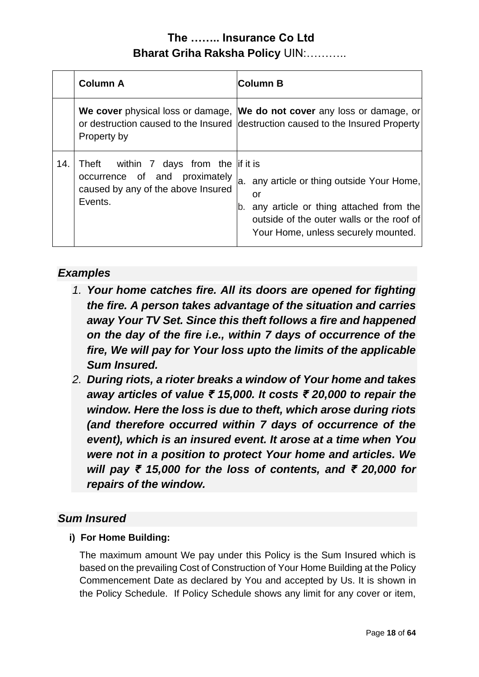|     | <b>Column A</b>                                                                                                         | <b>Column B</b>                                                                                                                                                                   |
|-----|-------------------------------------------------------------------------------------------------------------------------|-----------------------------------------------------------------------------------------------------------------------------------------------------------------------------------|
|     | Property by                                                                                                             | We cover physical loss or damage, We do not cover any loss or damage, or<br>or destruction caused to the Insured destruction caused to the Insured Property                       |
| 14. | Theft within 7 days from the if it is<br>occurrence of and proximately<br>caused by any of the above Insured<br>Events. | a. any article or thing outside Your Home,<br>or<br>b. any article or thing attached from the<br>outside of the outer walls or the roof of<br>Your Home, unless securely mounted. |

### *Examples*

- *1. Your home catches fire. All its doors are opened for fighting the fire. A person takes advantage of the situation and carries away Your TV Set. Since this theft follows a fire and happened on the day of the fire i.e., within 7 days of occurrence of the fire, We will pay for Your loss upto the limits of the applicable Sum Insured.*
- *2. During riots, a rioter breaks a window of Your home and takes away articles of value ₹ 15,000. It costs ₹ 20,000 to repair the window. Here the loss is due to theft, which arose during riots (and therefore occurred within 7 days of occurrence of the event), which is an insured event. It arose at a time when You were not in a position to protect Your home and articles. We will pay ₹ 15,000 for the loss of contents, and ₹ 20,000 for repairs of the window.*

### *Sum Insured*

### **i) For Home Building:**

The maximum amount We pay under this Policy is the Sum Insured which is based on the prevailing Cost of Construction of Your Home Building at the Policy Commencement Date as declared by You and accepted by Us. It is shown in the Policy Schedule. If Policy Schedule shows any limit for any cover or item,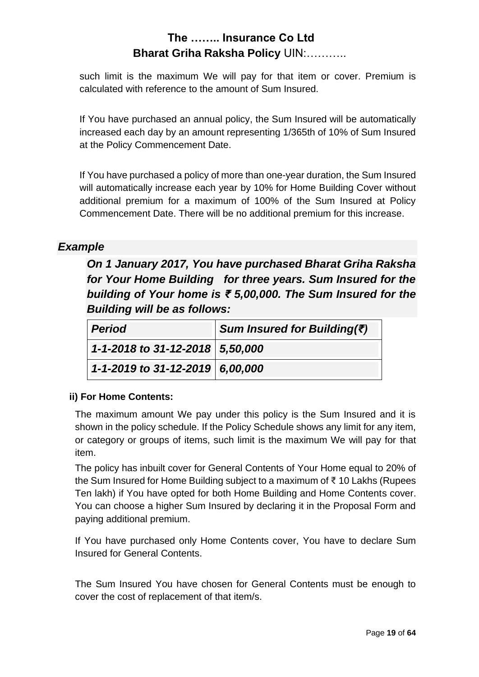such limit is the maximum We will pay for that item or cover. Premium is calculated with reference to the amount of Sum Insured.

If You have purchased an annual policy, the Sum Insured will be automatically increased each day by an amount representing 1/365th of 10% of Sum Insured at the Policy Commencement Date.

If You have purchased a policy of more than one-year duration, the Sum Insured will automatically increase each year by 10% for Home Building Cover without additional premium for a maximum of 100% of the Sum Insured at Policy Commencement Date. There will be no additional premium for this increase.

### *Example*

*On 1 January 2017, You have purchased Bharat Griha Raksha for Your Home Building for three years. Sum Insured for the building of Your home is ₹ 5,00,000. The Sum Insured for the Building will be as follows:*

| <b>Period</b>                   | Sum Insured for Building( $\bar{z}$ ) |
|---------------------------------|---------------------------------------|
| 1-1-2018 to 31-12-2018 5,50,000 |                                       |
| 1-1-2019 to 31-12-2019 6,00,000 |                                       |

#### **ii) For Home Contents:**

The maximum amount We pay under this policy is the Sum Insured and it is shown in the policy schedule. If the Policy Schedule shows any limit for any item, or category or groups of items, such limit is the maximum We will pay for that item.

The policy has inbuilt cover for General Contents of Your Home equal to 20% of the Sum Insured for Home Building subject to a maximum of ₹ 10 Lakhs (Rupees Ten lakh) if You have opted for both Home Building and Home Contents cover. You can choose a higher Sum Insured by declaring it in the Proposal Form and paying additional premium.

If You have purchased only Home Contents cover, You have to declare Sum Insured for General Contents.

The Sum Insured You have chosen for General Contents must be enough to cover the cost of replacement of that item/s.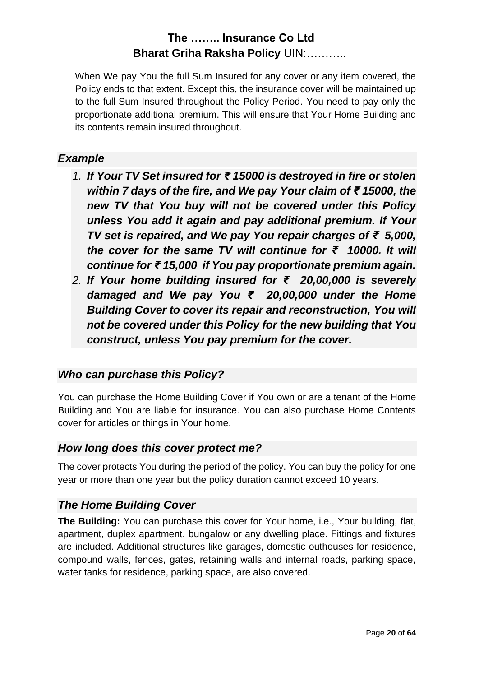When We pay You the full Sum Insured for any cover or any item covered, the Policy ends to that extent. Except this, the insurance cover will be maintained up to the full Sum Insured throughout the Policy Period. You need to pay only the proportionate additional premium. This will ensure that Your Home Building and its contents remain insured throughout.

### *Example*

- *1. If Your TV Set insured for ₹ 15000 is destroyed in fire or stolen within 7 days of the fire, and We pay Your claim of ₹ 15000, the new TV that You buy will not be covered under this Policy unless You add it again and pay additional premium. If Your TV set is repaired, and We pay You repair charges of ₹ 5,000, the cover for the same TV will continue for ₹ 10000. It will continue for ₹ 15,000 if You pay proportionate premium again.*
- *2. If Your home building insured for ₹ 20,00,000 is severely damaged and We pay You ₹ 20,00,000 under the Home Building Cover to cover its repair and reconstruction, You will not be covered under this Policy for the new building that You construct, unless You pay premium for the cover.*

### *Who can purchase this Policy?*

You can purchase the Home Building Cover if You own or are a tenant of the Home Building and You are liable for insurance. You can also purchase Home Contents cover for articles or things in Your home.

### *How long does this cover protect me?*

The cover protects You during the period of the policy. You can buy the policy for one year or more than one year but the policy duration cannot exceed 10 years.

### *The Home Building Cover*

**The Building:** You can purchase this cover for Your home, i.e., Your building, flat, apartment, duplex apartment, bungalow or any dwelling place. Fittings and fixtures are included. Additional structures like garages, domestic outhouses for residence, compound walls, fences, gates, retaining walls and internal roads, parking space, water tanks for residence, parking space, are also covered.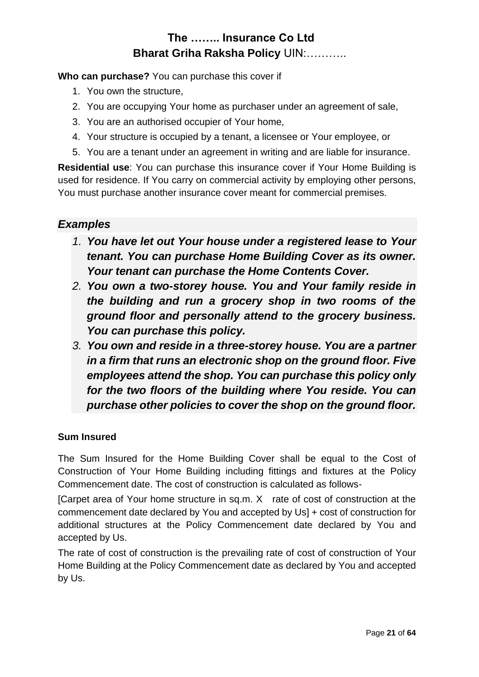**Who can purchase?** You can purchase this cover if

- 1. You own the structure,
- 2. You are occupying Your home as purchaser under an agreement of sale,
- 3. You are an authorised occupier of Your home,
- 4. Your structure is occupied by a tenant, a licensee or Your employee, or
- 5. You are a tenant under an agreement in writing and are liable for insurance.

**Residential use**: You can purchase this insurance cover if Your Home Building is used for residence. If You carry on commercial activity by employing other persons, You must purchase another insurance cover meant for commercial premises.

### *Examples*

- *1. You have let out Your house under a registered lease to Your tenant. You can purchase Home Building Cover as its owner. Your tenant can purchase the Home Contents Cover.*
- *2. You own a two-storey house. You and Your family reside in the building and run a grocery shop in two rooms of the ground floor and personally attend to the grocery business. You can purchase this policy.*
- *3. You own and reside in a three-storey house. You are a partner in a firm that runs an electronic shop on the ground floor. Five employees attend the shop. You can purchase this policy only for the two floors of the building where You reside. You can purchase other policies to cover the shop on the ground floor.*

#### **Sum Insured**

The Sum Insured for the Home Building Cover shall be equal to the Cost of Construction of Your Home Building including fittings and fixtures at the Policy Commencement date. The cost of construction is calculated as follows-

[Carpet area of Your home structure in sq.m. X rate of cost of construction at the commencement date declared by You and accepted by Us] + cost of construction for additional structures at the Policy Commencement date declared by You and accepted by Us.

The rate of cost of construction is the prevailing rate of cost of construction of Your Home Building at the Policy Commencement date as declared by You and accepted by Us.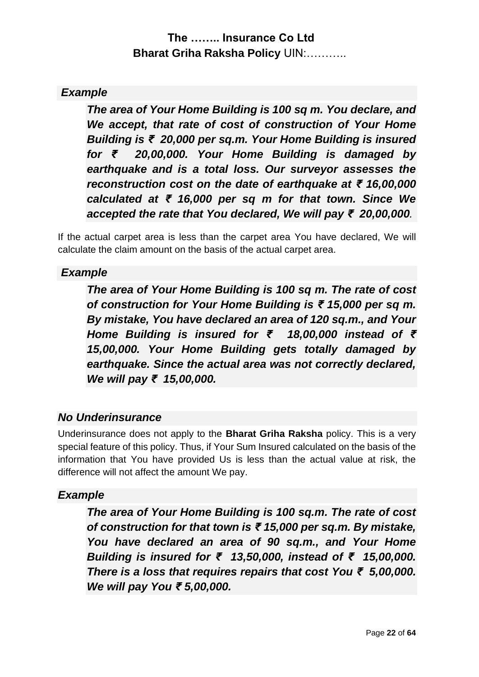### *Example*

*The area of Your Home Building is 100 sq m. You declare, and We accept, that rate of cost of construction of Your Home Building is ₹ 20,000 per sq.m. Your Home Building is insured for ₹ 20,00,000. Your Home Building is damaged by earthquake and is a total loss. Our surveyor assesses the reconstruction cost on the date of earthquake at ₹ 16,00,000 calculated at ₹ 16,000 per sq m for that town. Since We accepted the rate that You declared, We will pay ₹ 20,00,000.*

If the actual carpet area is less than the carpet area You have declared, We will calculate the claim amount on the basis of the actual carpet area.

### *Example*

*The area of Your Home Building is 100 sq m. The rate of cost of construction for Your Home Building is ₹ 15,000 per sq m. By mistake, You have declared an area of 120 sq.m., and Your Home Building is insured for ₹ 18,00,000 instead of ₹ 15,00,000. Your Home Building gets totally damaged by earthquake. Since the actual area was not correctly declared, We will pay ₹ 15,00,000.*

### *No Underinsurance*

Underinsurance does not apply to the **Bharat Griha Raksha** policy. This is a very special feature of this policy. Thus, if Your Sum Insured calculated on the basis of the information that You have provided Us is less than the actual value at risk, the difference will not affect the amount We pay.

#### *Example*

*The area of Your Home Building is 100 sq.m. The rate of cost of construction for that town is ₹ 15,000 per sq.m. By mistake, You have declared an area of 90 sq.m., and Your Home Building is insured for ₹ 13,50,000, instead of ₹ 15,00,000. There is a loss that requires repairs that cost You ₹ 5,00,000. We will pay You ₹ 5,00,000.*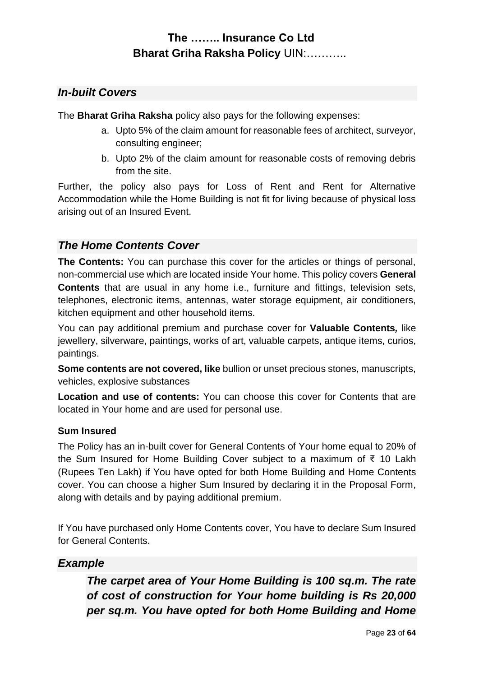### *In-built Covers*

The **Bharat Griha Raksha** policy also pays for the following expenses:

- a. Upto 5% of the claim amount for reasonable fees of architect, surveyor, consulting engineer;
- b. Upto 2% of the claim amount for reasonable costs of removing debris from the site.

Further, the policy also pays for Loss of Rent and Rent for Alternative Accommodation while the Home Building is not fit for living because of physical loss arising out of an Insured Event.

### *The Home Contents Cover*

**The Contents:** You can purchase this cover for the articles or things of personal, non-commercial use which are located inside Your home. This policy covers **General Contents** that are usual in any home i.e., furniture and fittings, television sets, telephones, electronic items, antennas, water storage equipment, air conditioners, kitchen equipment and other household items.

You can pay additional premium and purchase cover for **Valuable Contents***,* like jewellery, silverware, paintings, works of art, valuable carpets, antique items, curios, paintings.

**Some contents are not covered, like** bullion or unset precious stones, manuscripts, vehicles, explosive substances

**Location and use of contents:** You can choose this cover for Contents that are located in Your home and are used for personal use.

#### **Sum Insured**

The Policy has an in-built cover for General Contents of Your home equal to 20% of the Sum Insured for Home Building Cover subject to a maximum of ₹ 10 Lakh (Rupees Ten Lakh) if You have opted for both Home Building and Home Contents cover. You can choose a higher Sum Insured by declaring it in the Proposal Form, along with details and by paying additional premium.

If You have purchased only Home Contents cover, You have to declare Sum Insured for General Contents.

### *Example*

*The carpet area of Your Home Building is 100 sq.m. The rate of cost of construction for Your home building is Rs 20,000 per sq.m. You have opted for both Home Building and Home*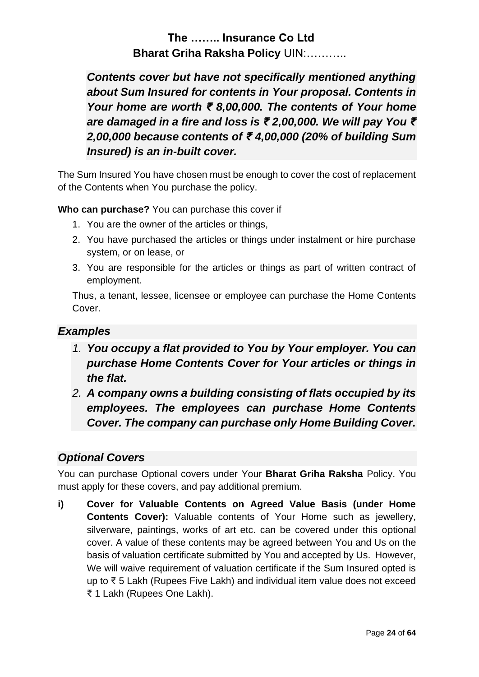*Contents cover but have not specifically mentioned anything about Sum Insured for contents in Your proposal. Contents in Your home are worth ₹ 8,00,000. The contents of Your home are damaged in a fire and loss is ₹ 2,00,000. We will pay You ₹ 2,00,000 because contents of ₹ 4,00,000 (20% of building Sum Insured) is an in-built cover.*

The Sum Insured You have chosen must be enough to cover the cost of replacement of the Contents when You purchase the policy.

**Who can purchase?** You can purchase this cover if

- 1. You are the owner of the articles or things,
- 2. You have purchased the articles or things under instalment or hire purchase system, or on lease, or
- 3. You are responsible for the articles or things as part of written contract of employment.

Thus, a tenant, lessee, licensee or employee can purchase the Home Contents Cover.

### *Examples*

- *1. You occupy a flat provided to You by Your employer. You can purchase Home Contents Cover for Your articles or things in the flat.*
- *2. A company owns a building consisting of flats occupied by its employees. The employees can purchase Home Contents Cover. The company can purchase only Home Building Cover.*

### *Optional Covers*

You can purchase Optional covers under Your **Bharat Griha Raksha** Policy. You must apply for these covers, and pay additional premium.

**i) Cover for Valuable Contents on Agreed Value Basis (under Home Contents Cover):** Valuable contents of Your Home such as jewellery, silverware, paintings, works of art etc. can be covered under this optional cover. A value of these contents may be agreed between You and Us on the basis of valuation certificate submitted by You and accepted by Us. However, We will waive requirement of valuation certificate if the Sum Insured opted is up to ₹ 5 Lakh (Rupees Five Lakh) and individual item value does not exceed ₹ 1 Lakh (Rupees One Lakh).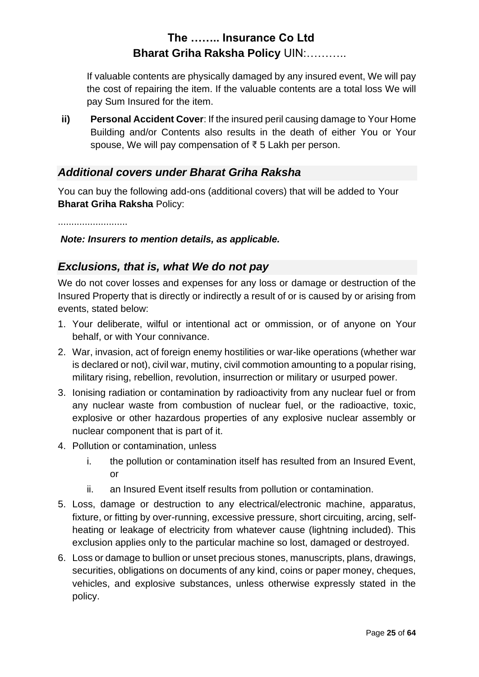If valuable contents are physically damaged by any insured event, We will pay the cost of repairing the item. If the valuable contents are a total loss We will pay Sum Insured for the item.

**ii) Personal Accident Cover**: If the insured peril causing damage to Your Home Building and/or Contents also results in the death of either You or Your spouse, We will pay compensation of ₹ 5 Lakh per person.

### *Additional covers under Bharat Griha Raksha*

You can buy the following add-ons (additional covers) that will be added to Your **Bharat Griha Raksha** Policy:

..........................

#### *Note: Insurers to mention details, as applicable.*

### *Exclusions, that is, what We do not pay*

We do not cover losses and expenses for any loss or damage or destruction of the Insured Property that is directly or indirectly a result of or is caused by or arising from events, stated below:

- 1. Your deliberate, wilful or intentional act or ommission, or of anyone on Your behalf, or with Your connivance.
- 2. War, invasion, act of foreign enemy hostilities or war-like operations (whether war is declared or not), civil war, mutiny, civil commotion amounting to a popular rising, military rising, rebellion, revolution, insurrection or military or usurped power.
- 3. Ionising radiation or contamination by radioactivity from any nuclear fuel or from any nuclear waste from combustion of nuclear fuel, or the radioactive, toxic, explosive or other hazardous properties of any explosive nuclear assembly or nuclear component that is part of it.
- 4. Pollution or contamination, unless
	- i. the pollution or contamination itself has resulted from an Insured Event, or
	- ii. an Insured Event itself results from pollution or contamination.
- 5. Loss, damage or destruction to any electrical/electronic machine, apparatus, fixture, or fitting by over-running, excessive pressure, short circuiting, arcing, selfheating or leakage of electricity from whatever cause (lightning included). This exclusion applies only to the particular machine so lost, damaged or destroyed.
- 6. Loss or damage to bullion or unset precious stones, manuscripts, plans, drawings, securities, obligations on documents of any kind, coins or paper money, cheques, vehicles, and explosive substances, unless otherwise expressly stated in the policy.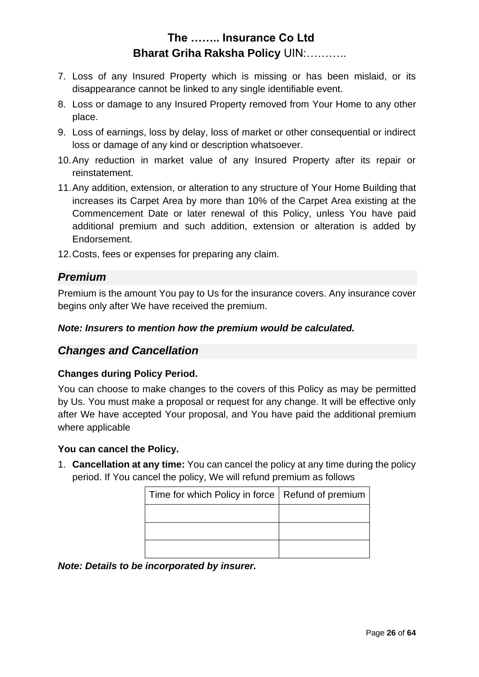- 7. Loss of any Insured Property which is missing or has been mislaid, or its disappearance cannot be linked to any single identifiable event.
- 8. Loss or damage to any Insured Property removed from Your Home to any other place.
- 9. Loss of earnings, loss by delay, loss of market or other consequential or indirect loss or damage of any kind or description whatsoever.
- 10.Any reduction in market value of any Insured Property after its repair or reinstatement.
- 11.Any addition, extension, or alteration to any structure of Your Home Building that increases its Carpet Area by more than 10% of the Carpet Area existing at the Commencement Date or later renewal of this Policy, unless You have paid additional premium and such addition, extension or alteration is added by Endorsement.
- 12.Costs, fees or expenses for preparing any claim.

### *Premium*

Premium is the amount You pay to Us for the insurance covers. Any insurance cover begins only after We have received the premium.

#### *Note: Insurers to mention how the premium would be calculated.*

#### *Changes and Cancellation*

#### **Changes during Policy Period.**

You can choose to make changes to the covers of this Policy as may be permitted by Us. You must make a proposal or request for any change. It will be effective only after We have accepted Your proposal, and You have paid the additional premium where applicable

#### **You can cancel the Policy.**

1. **Cancellation at any time:** You can cancel the policy at any time during the policy period. If You cancel the policy, We will refund premium as follows

| Time for which Policy in force   Refund of premium |  |
|----------------------------------------------------|--|
|                                                    |  |
|                                                    |  |
|                                                    |  |

*Note: Details to be incorporated by insurer.*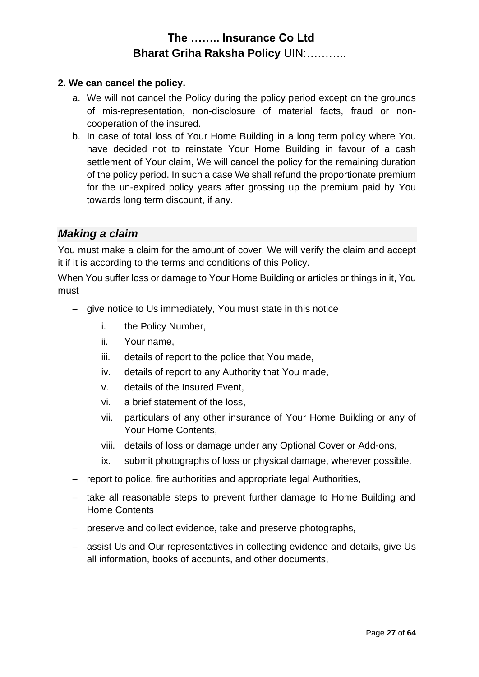#### **2. We can cancel the policy.**

- a. We will not cancel the Policy during the policy period except on the grounds of mis-representation, non-disclosure of material facts, fraud or noncooperation of the insured.
- b. In case of total loss of Your Home Building in a long term policy where You have decided not to reinstate Your Home Building in favour of a cash settlement of Your claim, We will cancel the policy for the remaining duration of the policy period. In such a case We shall refund the proportionate premium for the un-expired policy years after grossing up the premium paid by You towards long term discount, if any.

### *Making a claim*

You must make a claim for the amount of cover. We will verify the claim and accept it if it is according to the terms and conditions of this Policy.

When You suffer loss or damage to Your Home Building or articles or things in it, You must

- − give notice to Us immediately, You must state in this notice
	- i. the Policy Number,
	- ii. Your name,
	- iii. details of report to the police that You made,
	- iv. details of report to any Authority that You made,
	- v. details of the Insured Event,
	- vi. a brief statement of the loss,
	- vii. particulars of any other insurance of Your Home Building or any of Your Home Contents,
	- viii. details of loss or damage under any Optional Cover or Add-ons,
	- ix. submit photographs of loss or physical damage, wherever possible.
- − report to police, fire authorities and appropriate legal Authorities,
- − take all reasonable steps to prevent further damage to Home Building and Home Contents
- − preserve and collect evidence, take and preserve photographs,
- − assist Us and Our representatives in collecting evidence and details, give Us all information, books of accounts, and other documents,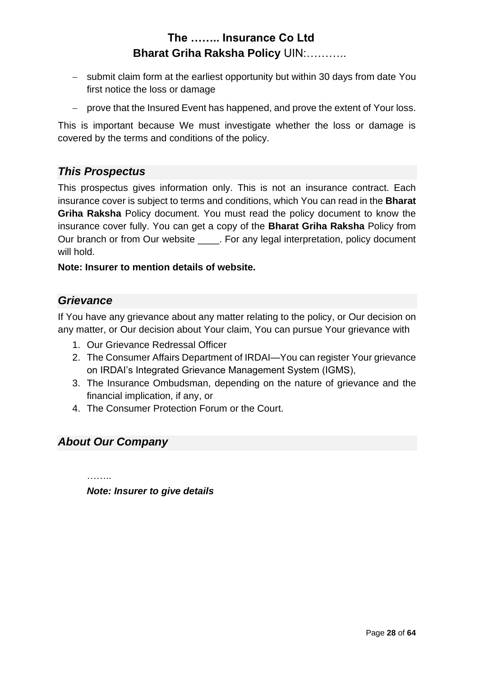- − submit claim form at the earliest opportunity but within 30 days from date You first notice the loss or damage
- − prove that the Insured Event has happened, and prove the extent of Your loss.

This is important because We must investigate whether the loss or damage is covered by the terms and conditions of the policy.

### *This Prospectus*

This prospectus gives information only. This is not an insurance contract. Each insurance cover is subject to terms and conditions, which You can read in the **Bharat Griha Raksha** Policy document. You must read the policy document to know the insurance cover fully. You can get a copy of the **Bharat Griha Raksha** Policy from Our branch or from Our website \_\_\_\_. For any legal interpretation, policy document will hold.

#### **Note: Insurer to mention details of website.**

#### *Grievance*

If You have any grievance about any matter relating to the policy, or Our decision on any matter, or Our decision about Your claim, You can pursue Your grievance with

- 1. Our Grievance Redressal Officer
- 2. The Consumer Affairs Department of IRDAI—You can register Your grievance on IRDAI's Integrated Grievance Management System (IGMS),
- 3. The Insurance Ombudsman, depending on the nature of grievance and the financial implication, if any, or
- 4. The Consumer Protection Forum or the Court.

#### *About Our Company*

. . . . . . . .

*Note: Insurer to give details*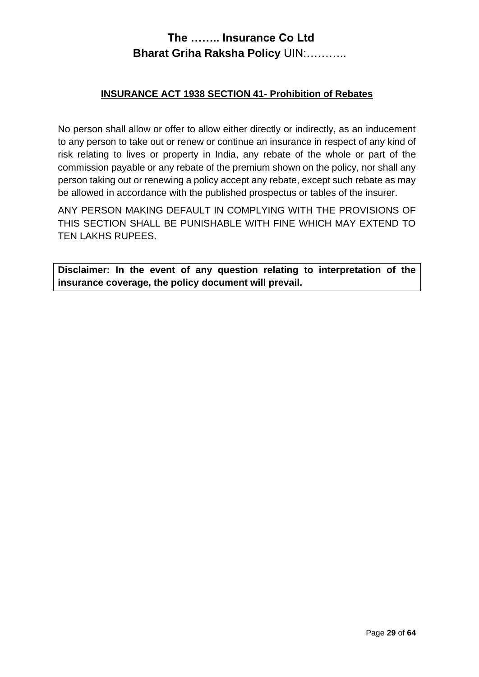#### **INSURANCE ACT 1938 SECTION 41- Prohibition of Rebates**

No person shall allow or offer to allow either directly or indirectly, as an inducement to any person to take out or renew or continue an insurance in respect of any kind of risk relating to lives or property in India, any rebate of the whole or part of the commission payable or any rebate of the premium shown on the policy, nor shall any person taking out or renewing a policy accept any rebate, except such rebate as may be allowed in accordance with the published prospectus or tables of the insurer.

ANY PERSON MAKING DEFAULT IN COMPLYING WITH THE PROVISIONS OF THIS SECTION SHALL BE PUNISHABLE WITH FINE WHICH MAY EXTEND TO TEN LAKHS RUPEES.

**Disclaimer: In the event of any question relating to interpretation of the insurance coverage, the policy document will prevail.**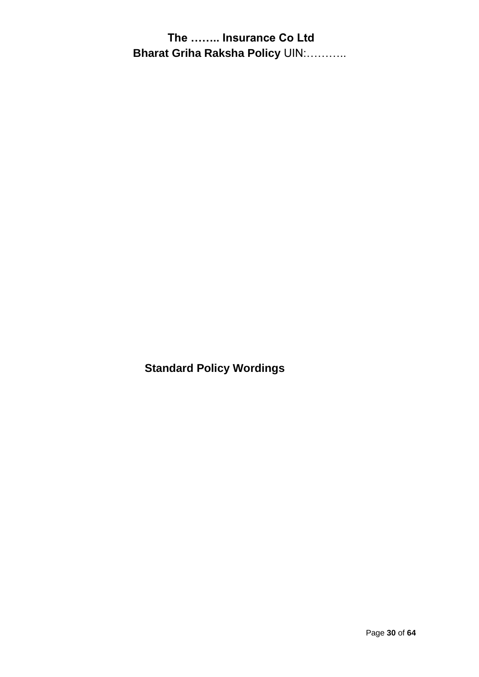**Standard Policy Wordings**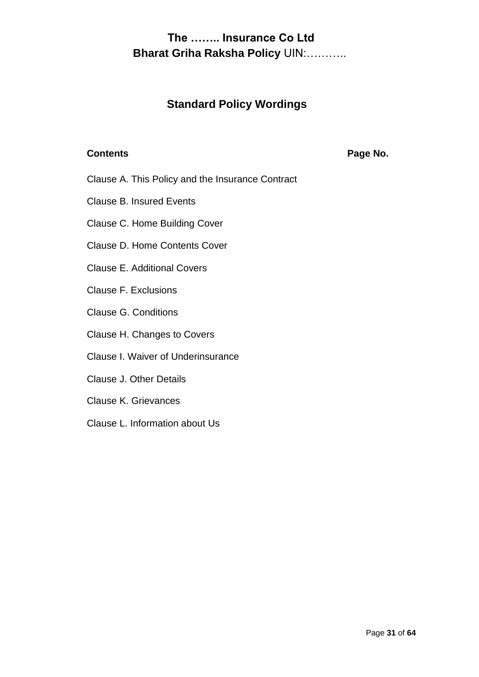### **Standard Policy Wordings**

**Contents Page No.** 

- Clause A. This Policy and the Insurance Contract
- Clause B. Insured Events
- Clause C. Home Building Cover
- Clause D. Home Contents Cover
- Clause E. Additional Covers
- Clause F. Exclusions
- Clause G. Conditions
- Clause H. Changes to Covers
- Clause I. Waiver of Underinsurance
- Clause J. Other Details
- Clause K. Grievances
- Clause L. Information about Us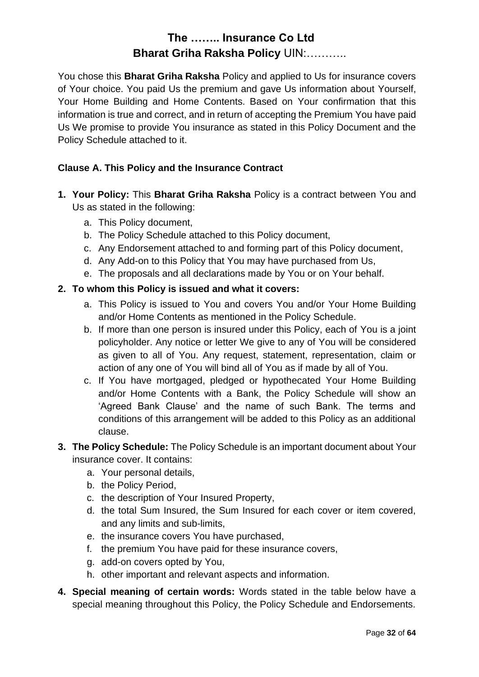You chose this **Bharat Griha Raksha** Policy and applied to Us for insurance covers of Your choice. You paid Us the premium and gave Us information about Yourself, Your Home Building and Home Contents. Based on Your confirmation that this information is true and correct, and in return of accepting the Premium You have paid Us We promise to provide You insurance as stated in this Policy Document and the Policy Schedule attached to it.

#### **Clause A. This Policy and the Insurance Contract**

- **1. Your Policy:** This **Bharat Griha Raksha** Policy is a contract between You and Us as stated in the following:
	- a. This Policy document,
	- b. The Policy Schedule attached to this Policy document,
	- c. Any Endorsement attached to and forming part of this Policy document,
	- d. Any Add-on to this Policy that You may have purchased from Us,
	- e. The proposals and all declarations made by You or on Your behalf.

#### **2. To whom this Policy is issued and what it covers:**

- a. This Policy is issued to You and covers You and/or Your Home Building and/or Home Contents as mentioned in the Policy Schedule.
- b. If more than one person is insured under this Policy, each of You is a joint policyholder. Any notice or letter We give to any of You will be considered as given to all of You. Any request, statement, representation, claim or action of any one of You will bind all of You as if made by all of You.
- c. If You have mortgaged, pledged or hypothecated Your Home Building and/or Home Contents with a Bank, the Policy Schedule will show an 'Agreed Bank Clause' and the name of such Bank. The terms and conditions of this arrangement will be added to this Policy as an additional clause.
- **3. The Policy Schedule:** The Policy Schedule is an important document about Your insurance cover. It contains:
	- a. Your personal details,
	- b. the Policy Period,
	- c. the description of Your Insured Property,
	- d. the total Sum Insured, the Sum Insured for each cover or item covered, and any limits and sub-limits,
	- e. the insurance covers You have purchased,
	- f. the premium You have paid for these insurance covers,
	- g. add-on covers opted by You,
	- h. other important and relevant aspects and information.
- **4. Special meaning of certain words:** Words stated in the table below have a special meaning throughout this Policy, the Policy Schedule and Endorsements.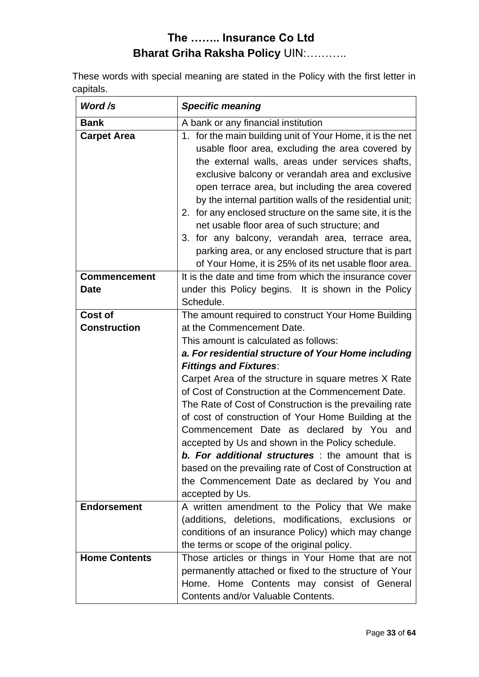These words with special meaning are stated in the Policy with the first letter in capitals.

| Word /s                            | <b>Specific meaning</b>                                                                                                                                                                                                                                                                                                                                                                                                                                                                                                                                                                                                                                                                                                                     |
|------------------------------------|---------------------------------------------------------------------------------------------------------------------------------------------------------------------------------------------------------------------------------------------------------------------------------------------------------------------------------------------------------------------------------------------------------------------------------------------------------------------------------------------------------------------------------------------------------------------------------------------------------------------------------------------------------------------------------------------------------------------------------------------|
| <b>Bank</b><br><b>Carpet Area</b>  | A bank or any financial institution<br>for the main building unit of Your Home, it is the net<br>1.<br>usable floor area, excluding the area covered by<br>the external walls, areas under services shafts,<br>exclusive balcony or verandah area and exclusive<br>open terrace area, but including the area covered<br>by the internal partition walls of the residential unit;<br>2. for any enclosed structure on the same site, it is the<br>net usable floor area of such structure; and<br>3. for any balcony, verandah area, terrace area,<br>parking area, or any enclosed structure that is part<br>of Your Home, it is 25% of its net usable floor area.                                                                          |
| <b>Commencement</b><br><b>Date</b> | It is the date and time from which the insurance cover<br>under this Policy begins. It is shown in the Policy<br>Schedule.                                                                                                                                                                                                                                                                                                                                                                                                                                                                                                                                                                                                                  |
| Cost of<br><b>Construction</b>     | The amount required to construct Your Home Building<br>at the Commencement Date.<br>This amount is calculated as follows:<br>a. For residential structure of Your Home including<br><b>Fittings and Fixtures:</b><br>Carpet Area of the structure in square metres X Rate<br>of Cost of Construction at the Commencement Date.<br>The Rate of Cost of Construction is the prevailing rate<br>of cost of construction of Your Home Building at the<br>Commencement Date as declared by You and<br>accepted by Us and shown in the Policy schedule.<br><b>b. For additional structures</b> : the amount that is<br>based on the prevailing rate of Cost of Construction at<br>the Commencement Date as declared by You and<br>accepted by Us. |
| <b>Endorsement</b>                 | A written amendment to the Policy that We make<br>(additions, deletions, modifications, exclusions or<br>conditions of an insurance Policy) which may change<br>the terms or scope of the original policy.                                                                                                                                                                                                                                                                                                                                                                                                                                                                                                                                  |
| <b>Home Contents</b>               | Those articles or things in Your Home that are not<br>permanently attached or fixed to the structure of Your<br>Home. Home Contents may consist of General<br>Contents and/or Valuable Contents.                                                                                                                                                                                                                                                                                                                                                                                                                                                                                                                                            |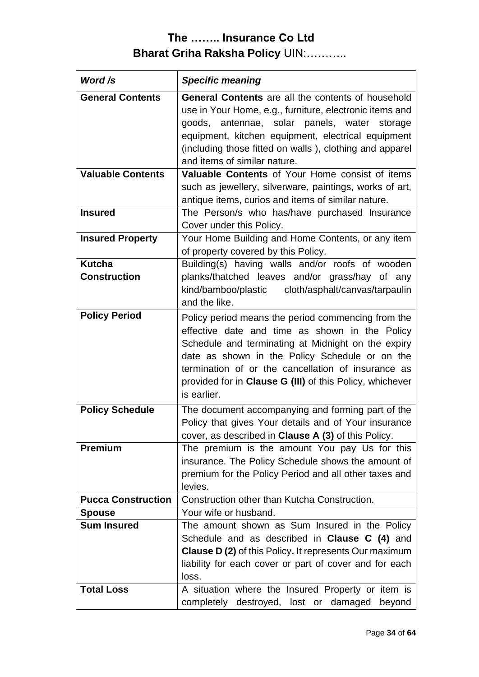| Word /s                              | <b>Specific meaning</b>                                                                                                                                                                                                                                                                                                                       |  |  |  |  |
|--------------------------------------|-----------------------------------------------------------------------------------------------------------------------------------------------------------------------------------------------------------------------------------------------------------------------------------------------------------------------------------------------|--|--|--|--|
| <b>General Contents</b>              | <b>General Contents</b> are all the contents of household<br>use in Your Home, e.g., furniture, electronic items and<br>goods, antennae, solar panels, water<br>storage<br>equipment, kitchen equipment, electrical equipment<br>(including those fitted on walls), clothing and apparel<br>and items of similar nature.                      |  |  |  |  |
| <b>Valuable Contents</b>             | Valuable Contents of Your Home consist of items<br>such as jewellery, silverware, paintings, works of art,<br>antique items, curios and items of similar nature.                                                                                                                                                                              |  |  |  |  |
| <b>Insured</b>                       | The Person/s who has/have purchased Insurance<br>Cover under this Policy.                                                                                                                                                                                                                                                                     |  |  |  |  |
| <b>Insured Property</b>              | Your Home Building and Home Contents, or any item<br>of property covered by this Policy.                                                                                                                                                                                                                                                      |  |  |  |  |
| <b>Kutcha</b><br><b>Construction</b> | Building(s) having walls and/or roofs of wooden<br>planks/thatched leaves and/or grass/hay of any<br>kind/bamboo/plastic<br>cloth/asphalt/canvas/tarpaulin<br>and the like.                                                                                                                                                                   |  |  |  |  |
| <b>Policy Period</b>                 | Policy period means the period commencing from the<br>effective date and time as shown in the Policy<br>Schedule and terminating at Midnight on the expiry<br>date as shown in the Policy Schedule or on the<br>termination of or the cancellation of insurance as<br>provided for in Clause G (III) of this Policy, whichever<br>is earlier. |  |  |  |  |
| <b>Policy Schedule</b>               | The document accompanying and forming part of the<br>Policy that gives Your details and of Your insurance<br>cover, as described in Clause A (3) of this Policy.                                                                                                                                                                              |  |  |  |  |
| <b>Premium</b>                       | The premium is the amount You pay Us for this<br>insurance. The Policy Schedule shows the amount of<br>premium for the Policy Period and all other taxes and<br>levies.                                                                                                                                                                       |  |  |  |  |
| <b>Pucca Construction</b>            | Construction other than Kutcha Construction.                                                                                                                                                                                                                                                                                                  |  |  |  |  |
| <b>Spouse</b>                        | Your wife or husband.                                                                                                                                                                                                                                                                                                                         |  |  |  |  |
| <b>Sum Insured</b>                   | The amount shown as Sum Insured in the Policy<br>Schedule and as described in <b>Clause C (4)</b> and<br><b>Clause D (2)</b> of this Policy. It represents Our maximum<br>liability for each cover or part of cover and for each<br>loss.                                                                                                     |  |  |  |  |
| <b>Total Loss</b>                    | A situation where the Insured Property or item is<br>completely destroyed, lost or damaged<br>beyond                                                                                                                                                                                                                                          |  |  |  |  |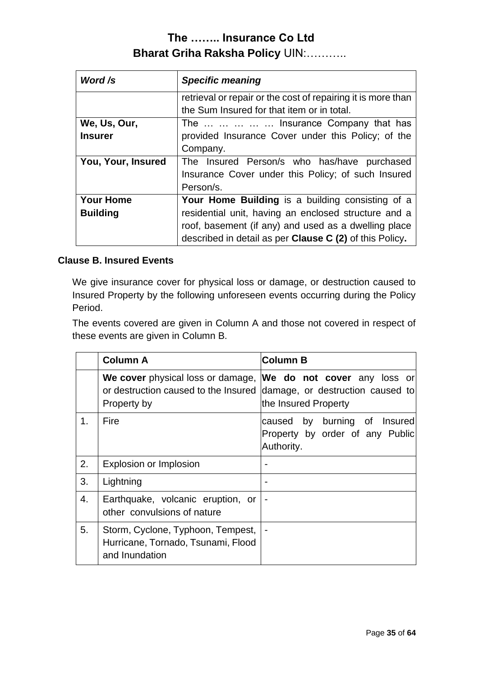| Word /s                             | <b>Specific meaning</b>                                                                                                                                                                                                                   |
|-------------------------------------|-------------------------------------------------------------------------------------------------------------------------------------------------------------------------------------------------------------------------------------------|
|                                     | retrieval or repair or the cost of repairing it is more than<br>the Sum Insured for that item or in total.                                                                                                                                |
| We, Us, Our,<br><b>Insurer</b>      | The      Insurance Company that has<br>provided Insurance Cover under this Policy; of the<br>Company.                                                                                                                                     |
| You, Your, Insured                  | The Insured Person/s who has/have purchased<br>Insurance Cover under this Policy; of such Insured<br>Person/s.                                                                                                                            |
| <b>Your Home</b><br><b>Building</b> | <b>Your Home Building</b> is a building consisting of a<br>residential unit, having an enclosed structure and a<br>roof, basement (if any) and used as a dwelling place<br>described in detail as per <b>Clause C (2)</b> of this Policy. |

#### **Clause B. Insured Events**

We give insurance cover for physical loss or damage, or destruction caused to Insured Property by the following unforeseen events occurring during the Policy Period.

The events covered are given in Column A and those not covered in respect of these events are given in Column B.

|    | <b>Column A</b>                                                                           | <b>Column B</b>                                                                         |  |  |
|----|-------------------------------------------------------------------------------------------|-----------------------------------------------------------------------------------------|--|--|
|    | We cover physical loss or damage,<br>or destruction caused to the Insured<br>Property by  | We do not cover any loss or<br>damage, or destruction caused to<br>the Insured Property |  |  |
| 1. | Fire                                                                                      | caused by burning of Insured<br>Property by order of any Public<br>Authority.           |  |  |
| 2. | Explosion or Implosion                                                                    |                                                                                         |  |  |
| 3. | Lightning                                                                                 |                                                                                         |  |  |
| 4. | Earthquake, volcanic eruption, or<br>other convulsions of nature                          |                                                                                         |  |  |
| 5. | Storm, Cyclone, Typhoon, Tempest,<br>Hurricane, Tornado, Tsunami, Flood<br>and Inundation |                                                                                         |  |  |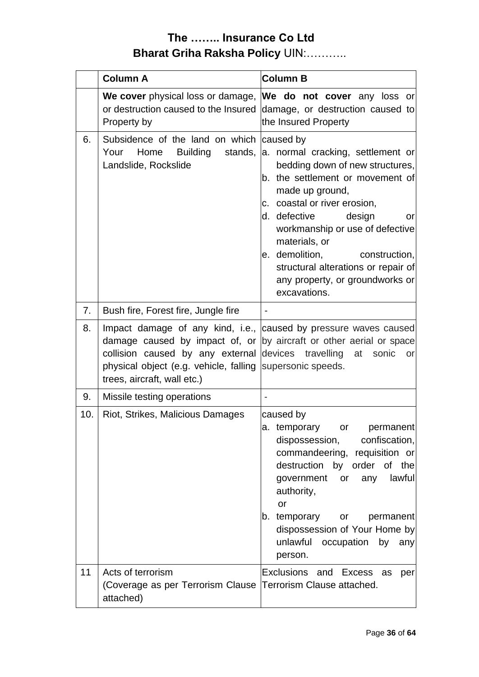|          | <b>Column A</b>                                                                                                                                                                                                                               | <b>Column B</b>                                                                                                                                                                                                                                                                                                                                                                           |
|----------|-----------------------------------------------------------------------------------------------------------------------------------------------------------------------------------------------------------------------------------------------|-------------------------------------------------------------------------------------------------------------------------------------------------------------------------------------------------------------------------------------------------------------------------------------------------------------------------------------------------------------------------------------------|
|          | We cover physical loss or damage, We do not cover any loss or<br>or destruction caused to the Insured<br>Property by                                                                                                                          | damage, or destruction caused to<br>the Insured Property                                                                                                                                                                                                                                                                                                                                  |
| 6.       | Subsidence of the land on which<br>Home<br><b>Building</b><br>Your<br>stands,<br>Landslide, Rockslide                                                                                                                                         | caused by<br>a. normal cracking, settlement or<br>bedding down of new structures,<br>b. the settlement or movement of<br>made up ground,<br>c. coastal or river erosion,<br>d. defective<br>design<br>or<br>workmanship or use of defective<br>materials, or<br>e. demolition,<br>construction,<br>structural alterations or repair of<br>any property, or groundworks or<br>excavations. |
| 7.       | Bush fire, Forest fire, Jungle fire                                                                                                                                                                                                           |                                                                                                                                                                                                                                                                                                                                                                                           |
| 8.<br>9. | Impact damage of any kind, i.e., caused by pressure waves caused<br>damage caused by impact of, or<br>collision caused by any external<br>physical object (e.g. vehicle, falling<br>trees, aircraft, wall etc.)<br>Missile testing operations | by aircraft or other aerial or space<br>devices travelling at sonic<br>or<br>supersonic speeds.<br>$\overline{\phantom{a}}$                                                                                                                                                                                                                                                               |
| 10.      | Riot, Strikes, Malicious Damages                                                                                                                                                                                                              | caused by<br>a. temporary<br>permanent<br>or<br>dispossession, confiscation,<br>commandeering, requisition or<br>destruction by order of the<br>government or any lawful<br>authority,<br>or<br>b. temporary<br>permanent<br>or<br>dispossession of Your Home by<br>unlawful occupation by any<br>person.                                                                                 |
| 11       | Acts of terrorism<br>(Coverage as per Terrorism Clause Terrorism Clause attached.<br>attached)                                                                                                                                                | Exclusions and Excess as<br>per                                                                                                                                                                                                                                                                                                                                                           |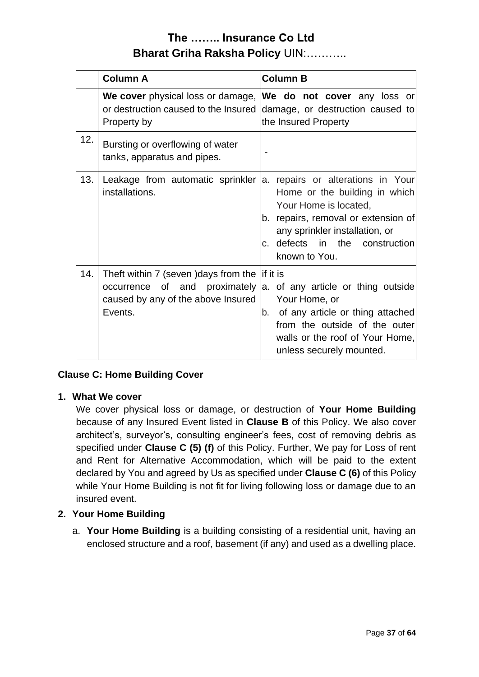|     | <b>Column A</b>                                                                                                                                                                 | <b>Column B</b>                                                                                                                                                                                                         |  |  |  |
|-----|---------------------------------------------------------------------------------------------------------------------------------------------------------------------------------|-------------------------------------------------------------------------------------------------------------------------------------------------------------------------------------------------------------------------|--|--|--|
|     | We cover physical loss or damage, We do not cover any loss or<br>or destruction caused to the Insured damage, or destruction caused to<br>Property by                           | the Insured Property                                                                                                                                                                                                    |  |  |  |
| 12. | Bursting or overflowing of water<br>tanks, apparatus and pipes.                                                                                                                 |                                                                                                                                                                                                                         |  |  |  |
| 13. | Leakage from automatic sprinkler<br>installations.                                                                                                                              | a. repairs or alterations in Your<br>Home or the building in which<br>Your Home is located,<br>b. repairs, removal or extension of<br>any sprinkler installation, or<br>c. defects in the construction<br>known to You. |  |  |  |
| 14. | Theft within 7 (seven ) days from the $\parallel$ if it is<br>occurrence of and proximately a. of any article or thing outside<br>caused by any of the above Insured<br>Events. | Your Home, or<br>b. of any article or thing attached<br>from the outside of the outer<br>walls or the roof of Your Home,<br>unless securely mounted.                                                                    |  |  |  |

#### **Clause C: Home Building Cover**

#### **1. What We cover**

We cover physical loss or damage, or destruction of **Your Home Building** because of any Insured Event listed in **Clause B** of this Policy. We also cover architect's, surveyor's, consulting engineer's fees, cost of removing debris as specified under **Clause C (5) (f)** of this Policy. Further, We pay for Loss of rent and Rent for Alternative Accommodation, which will be paid to the extent declared by You and agreed by Us as specified under **Clause C (6)** of this Policy while Your Home Building is not fit for living following loss or damage due to an insured event.

#### **2. Your Home Building**

a. **Your Home Building** is a building consisting of a residential unit, having an enclosed structure and a roof, basement (if any) and used as a dwelling place.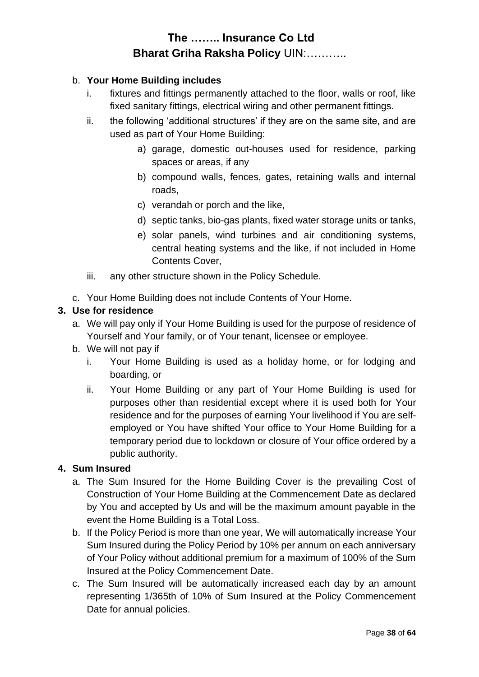#### b. **Your Home Building includes**

- i. fixtures and fittings permanently attached to the floor, walls or roof, like fixed sanitary fittings, electrical wiring and other permanent fittings.
- ii. the following 'additional structures' if they are on the same site, and are used as part of Your Home Building:
	- a) garage, domestic out-houses used for residence, parking spaces or areas, if any
	- b) compound walls, fences, gates, retaining walls and internal roads,
	- c) verandah or porch and the like,
	- d) septic tanks, bio-gas plants, fixed water storage units or tanks,
	- e) solar panels, wind turbines and air conditioning systems, central heating systems and the like, if not included in Home Contents Cover,
- iii. any other structure shown in the Policy Schedule.
- c. Your Home Building does not include Contents of Your Home.

#### **3. Use for residence**

- a. We will pay only if Your Home Building is used for the purpose of residence of Yourself and Your family, or of Your tenant, licensee or employee.
- b. We will not pay if
	- i. Your Home Building is used as a holiday home, or for lodging and boarding, or
	- ii. Your Home Building or any part of Your Home Building is used for purposes other than residential except where it is used both for Your residence and for the purposes of earning Your livelihood if You are selfemployed or You have shifted Your office to Your Home Building for a temporary period due to lockdown or closure of Your office ordered by a public authority.

#### **4. Sum Insured**

- a. The Sum Insured for the Home Building Cover is the prevailing Cost of Construction of Your Home Building at the Commencement Date as declared by You and accepted by Us and will be the maximum amount payable in the event the Home Building is a Total Loss.
- b. If the Policy Period is more than one year, We will automatically increase Your Sum Insured during the Policy Period by 10% per annum on each anniversary of Your Policy without additional premium for a maximum of 100% of the Sum Insured at the Policy Commencement Date.
- c. The Sum Insured will be automatically increased each day by an amount representing 1/365th of 10% of Sum Insured at the Policy Commencement Date for annual policies.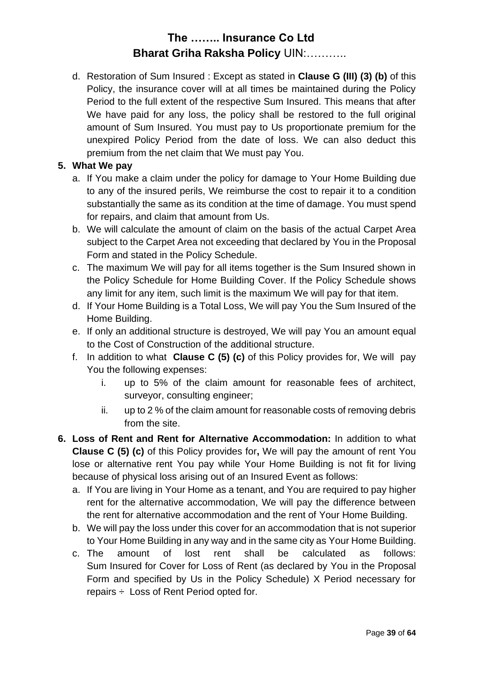d. Restoration of Sum Insured : Except as stated in **Clause G (III) (3) (b)** of this Policy, the insurance cover will at all times be maintained during the Policy Period to the full extent of the respective Sum Insured. This means that after We have paid for any loss, the policy shall be restored to the full original amount of Sum Insured. You must pay to Us proportionate premium for the unexpired Policy Period from the date of loss. We can also deduct this premium from the net claim that We must pay You.

#### **5. What We pay**

- a. If You make a claim under the policy for damage to Your Home Building due to any of the insured perils, We reimburse the cost to repair it to a condition substantially the same as its condition at the time of damage. You must spend for repairs, and claim that amount from Us.
- b. We will calculate the amount of claim on the basis of the actual Carpet Area subject to the Carpet Area not exceeding that declared by You in the Proposal Form and stated in the Policy Schedule.
- c. The maximum We will pay for all items together is the Sum Insured shown in the Policy Schedule for Home Building Cover. If the Policy Schedule shows any limit for any item, such limit is the maximum We will pay for that item.
- d. If Your Home Building is a Total Loss, We will pay You the Sum Insured of the Home Building.
- e. If only an additional structure is destroyed, We will pay You an amount equal to the Cost of Construction of the additional structure.
- f. In addition to what **Clause C (5) (c)** of this Policy provides for, We will pay You the following expenses:
	- i. up to 5% of the claim amount for reasonable fees of architect, surveyor, consulting engineer;
	- ii. up to 2 % of the claim amount for reasonable costs of removing debris from the site.
- **6. Loss of Rent and Rent for Alternative Accommodation:** In addition to what **Clause C (5) (c)** of this Policy provides for**,** We will pay the amount of rent You lose or alternative rent You pay while Your Home Building is not fit for living because of physical loss arising out of an Insured Event as follows:
	- a. If You are living in Your Home as a tenant, and You are required to pay higher rent for the alternative accommodation, We will pay the difference between the rent for alternative accommodation and the rent of Your Home Building.
	- b. We will pay the loss under this cover for an accommodation that is not superior to Your Home Building in any way and in the same city as Your Home Building.
	- c. The amount of lost rent shall be calculated as follows: Sum Insured for Cover for Loss of Rent (as declared by You in the Proposal Form and specified by Us in the Policy Schedule) X Period necessary for repairs  $\div$  Loss of Rent Period opted for.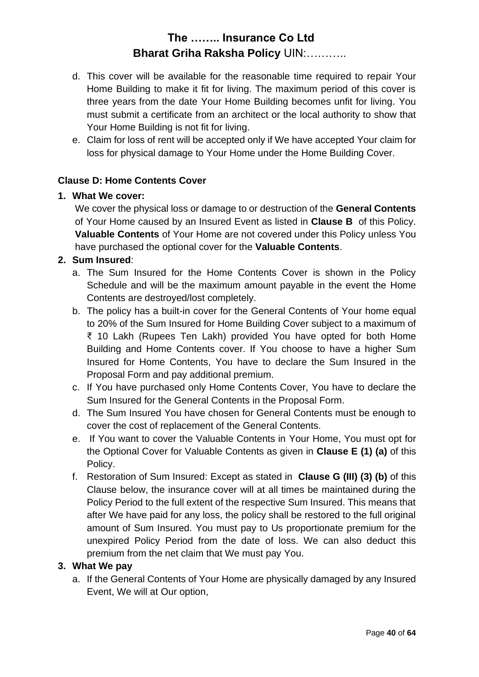- d. This cover will be available for the reasonable time required to repair Your Home Building to make it fit for living. The maximum period of this cover is three years from the date Your Home Building becomes unfit for living. You must submit a certificate from an architect or the local authority to show that Your Home Building is not fit for living.
- e. Claim for loss of rent will be accepted only if We have accepted Your claim for loss for physical damage to Your Home under the Home Building Cover.

#### **Clause D: Home Contents Cover**

#### **1. What We cover:**

We cover the physical loss or damage to or destruction of the **General Contents** of Your Home caused by an Insured Event as listed in **Clause B** of this Policy. **Valuable Contents** of Your Home are not covered under this Policy unless You have purchased the optional cover for the **Valuable Contents**.

#### **2. Sum Insured**:

- a. The Sum Insured for the Home Contents Cover is shown in the Policy Schedule and will be the maximum amount payable in the event the Home Contents are destroyed/lost completely.
- b. The policy has a built-in cover for the General Contents of Your home equal to 20% of the Sum Insured for Home Building Cover subject to a maximum of ₹ 10 Lakh (Rupees Ten Lakh) provided You have opted for both Home Building and Home Contents cover. If You choose to have a higher Sum Insured for Home Contents, You have to declare the Sum Insured in the Proposal Form and pay additional premium.
- c. If You have purchased only Home Contents Cover, You have to declare the Sum Insured for the General Contents in the Proposal Form.
- d. The Sum Insured You have chosen for General Contents must be enough to cover the cost of replacement of the General Contents.
- e. If You want to cover the Valuable Contents in Your Home, You must opt for the Optional Cover for Valuable Contents as given in **Clause E (1) (a)** of this Policy.
- f. Restoration of Sum Insured: Except as stated in **Clause G (III) (3) (b)** of this Clause below, the insurance cover will at all times be maintained during the Policy Period to the full extent of the respective Sum Insured. This means that after We have paid for any loss, the policy shall be restored to the full original amount of Sum Insured. You must pay to Us proportionate premium for the unexpired Policy Period from the date of loss. We can also deduct this premium from the net claim that We must pay You.

#### **3. What We pay**

a. If the General Contents of Your Home are physically damaged by any Insured Event, We will at Our option,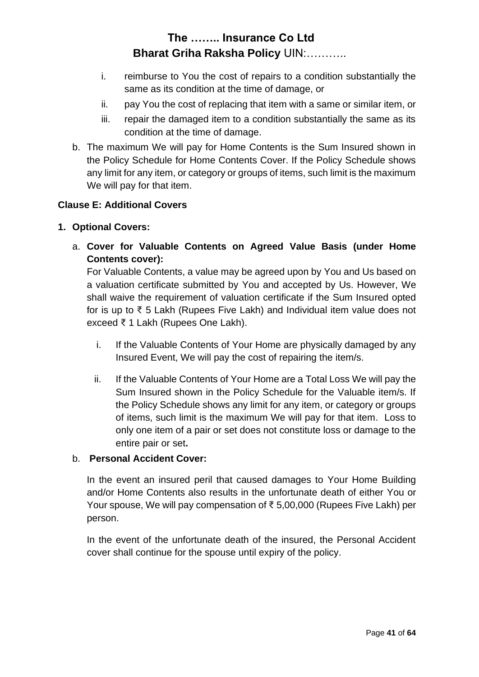- i. reimburse to You the cost of repairs to a condition substantially the same as its condition at the time of damage, or
- ii. pay You the cost of replacing that item with a same or similar item, or
- iii. repair the damaged item to a condition substantially the same as its condition at the time of damage.
- b. The maximum We will pay for Home Contents is the Sum Insured shown in the Policy Schedule for Home Contents Cover. If the Policy Schedule shows any limit for any item, or category or groups of items, such limit is the maximum We will pay for that item.

### **Clause E: Additional Covers**

#### **1. Optional Covers:**

a. **Cover for Valuable Contents on Agreed Value Basis (under Home Contents cover):**

For Valuable Contents, a value may be agreed upon by You and Us based on a valuation certificate submitted by You and accepted by Us. However, We shall waive the requirement of valuation certificate if the Sum Insured opted for is up to ₹ 5 Lakh (Rupees Five Lakh) and Individual item value does not exceed ₹ 1 Lakh (Rupees One Lakh).

- i. If the Valuable Contents of Your Home are physically damaged by any Insured Event, We will pay the cost of repairing the item/s.
- ii. If the Valuable Contents of Your Home are a Total Loss We will pay the Sum Insured shown in the Policy Schedule for the Valuable item/s. If the Policy Schedule shows any limit for any item, or category or groups of items, such limit is the maximum We will pay for that item. Loss to only one item of a pair or set does not constitute loss or damage to the entire pair or set**.**

#### b. **Personal Accident Cover:**

In the event an insured peril that caused damages to Your Home Building and/or Home Contents also results in the unfortunate death of either You or Your spouse, We will pay compensation of ₹ 5,00,000 (Rupees Five Lakh) per person.

In the event of the unfortunate death of the insured, the Personal Accident cover shall continue for the spouse until expiry of the policy.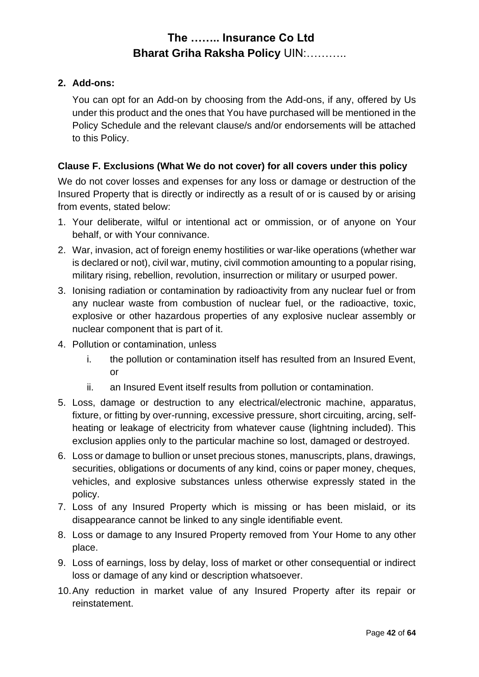#### **2. Add-ons:**

You can opt for an Add-on by choosing from the Add-ons, if any, offered by Us under this product and the ones that You have purchased will be mentioned in the Policy Schedule and the relevant clause/s and/or endorsements will be attached to this Policy.

#### **Clause F. Exclusions (What We do not cover) for all covers under this policy**

We do not cover losses and expenses for any loss or damage or destruction of the Insured Property that is directly or indirectly as a result of or is caused by or arising from events, stated below:

- 1. Your deliberate, wilful or intentional act or ommission, or of anyone on Your behalf, or with Your connivance.
- 2. War, invasion, act of foreign enemy hostilities or war-like operations (whether war is declared or not), civil war, mutiny, civil commotion amounting to a popular rising, military rising, rebellion, revolution, insurrection or military or usurped power.
- 3. Ionising radiation or contamination by radioactivity from any nuclear fuel or from any nuclear waste from combustion of nuclear fuel, or the radioactive, toxic, explosive or other hazardous properties of any explosive nuclear assembly or nuclear component that is part of it.
- 4. Pollution or contamination, unless
	- i. the pollution or contamination itself has resulted from an Insured Event, or
	- ii. an Insured Event itself results from pollution or contamination.
- 5. Loss, damage or destruction to any electrical/electronic machine, apparatus, fixture, or fitting by over-running, excessive pressure, short circuiting, arcing, selfheating or leakage of electricity from whatever cause (lightning included). This exclusion applies only to the particular machine so lost, damaged or destroyed.
- 6. Loss or damage to bullion or unset precious stones, manuscripts, plans, drawings, securities, obligations or documents of any kind, coins or paper money, cheques, vehicles, and explosive substances unless otherwise expressly stated in the policy.
- 7. Loss of any Insured Property which is missing or has been mislaid, or its disappearance cannot be linked to any single identifiable event.
- 8. Loss or damage to any Insured Property removed from Your Home to any other place.
- 9. Loss of earnings, loss by delay, loss of market or other consequential or indirect loss or damage of any kind or description whatsoever.
- 10.Any reduction in market value of any Insured Property after its repair or reinstatement.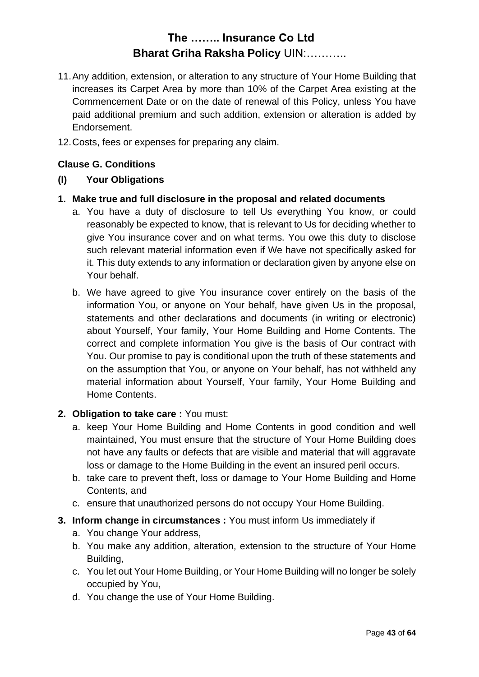- 11.Any addition, extension, or alteration to any structure of Your Home Building that increases its Carpet Area by more than 10% of the Carpet Area existing at the Commencement Date or on the date of renewal of this Policy, unless You have paid additional premium and such addition, extension or alteration is added by Endorsement.
- 12.Costs, fees or expenses for preparing any claim.

#### **Clause G. Conditions**

#### **(I) Your Obligations**

- **1. Make true and full disclosure in the proposal and related documents**
	- a. You have a duty of disclosure to tell Us everything You know, or could reasonably be expected to know, that is relevant to Us for deciding whether to give You insurance cover and on what terms. You owe this duty to disclose such relevant material information even if We have not specifically asked for it. This duty extends to any information or declaration given by anyone else on Your behalf.
	- b. We have agreed to give You insurance cover entirely on the basis of the information You, or anyone on Your behalf, have given Us in the proposal, statements and other declarations and documents (in writing or electronic) about Yourself, Your family, Your Home Building and Home Contents. The correct and complete information You give is the basis of Our contract with You. Our promise to pay is conditional upon the truth of these statements and on the assumption that You, or anyone on Your behalf, has not withheld any material information about Yourself, Your family, Your Home Building and Home Contents.

#### **2. Obligation to take care :** You must:

- a. keep Your Home Building and Home Contents in good condition and well maintained, You must ensure that the structure of Your Home Building does not have any faults or defects that are visible and material that will aggravate loss or damage to the Home Building in the event an insured peril occurs.
- b. take care to prevent theft, loss or damage to Your Home Building and Home Contents, and
- c. ensure that unauthorized persons do not occupy Your Home Building.
- **3. Inform change in circumstances :** You must inform Us immediately if
	- a. You change Your address,
	- b. You make any addition, alteration, extension to the structure of Your Home Building,
	- c. You let out Your Home Building, or Your Home Building will no longer be solely occupied by You,
	- d. You change the use of Your Home Building.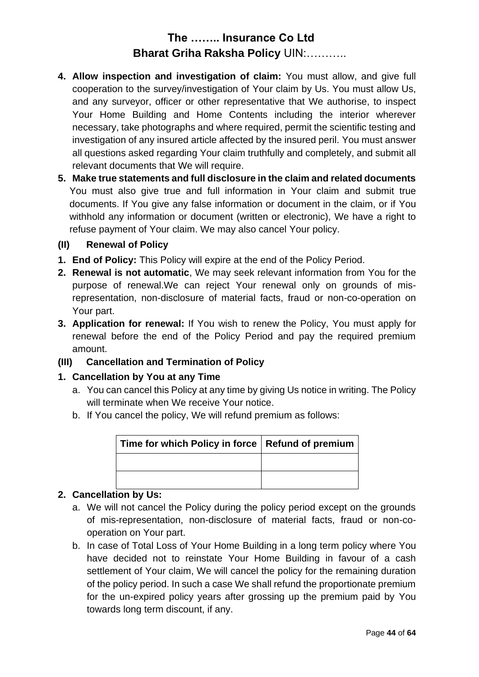- **4. Allow inspection and investigation of claim:** You must allow, and give full cooperation to the survey/investigation of Your claim by Us. You must allow Us, and any surveyor, officer or other representative that We authorise, to inspect Your Home Building and Home Contents including the interior wherever necessary, take photographs and where required, permit the scientific testing and investigation of any insured article affected by the insured peril. You must answer all questions asked regarding Your claim truthfully and completely, and submit all relevant documents that We will require.
- **5. Make true statements and full disclosure in the claim and related documents** You must also give true and full information in Your claim and submit true documents. If You give any false information or document in the claim, or if You withhold any information or document (written or electronic), We have a right to refuse payment of Your claim. We may also cancel Your policy.
- **(II) Renewal of Policy**
- **1. End of Policy:** This Policy will expire at the end of the Policy Period.
- **2. Renewal is not automatic**, We may seek relevant information from You for the purpose of renewal.We can reject Your renewal only on grounds of misrepresentation, non-disclosure of material facts, fraud or non-co-operation on Your part.
- **3. Application for renewal:** If You wish to renew the Policy, You must apply for renewal before the end of the Policy Period and pay the required premium amount.

#### **(III) Cancellation and Termination of Policy**

#### **1. Cancellation by You at any Time**

- a. You can cancel this Policy at any time by giving Us notice in writing. The Policy will terminate when We receive Your notice.
- b. If You cancel the policy, We will refund premium as follows:

| Time for which Policy in force   Refund of premium |  |
|----------------------------------------------------|--|
|                                                    |  |
|                                                    |  |

#### **2. Cancellation by Us:**

- a. We will not cancel the Policy during the policy period except on the grounds of mis-representation, non-disclosure of material facts, fraud or non-cooperation on Your part.
- b. In case of Total Loss of Your Home Building in a long term policy where You have decided not to reinstate Your Home Building in favour of a cash settlement of Your claim, We will cancel the policy for the remaining duration of the policy period. In such a case We shall refund the proportionate premium for the un-expired policy years after grossing up the premium paid by You towards long term discount, if any.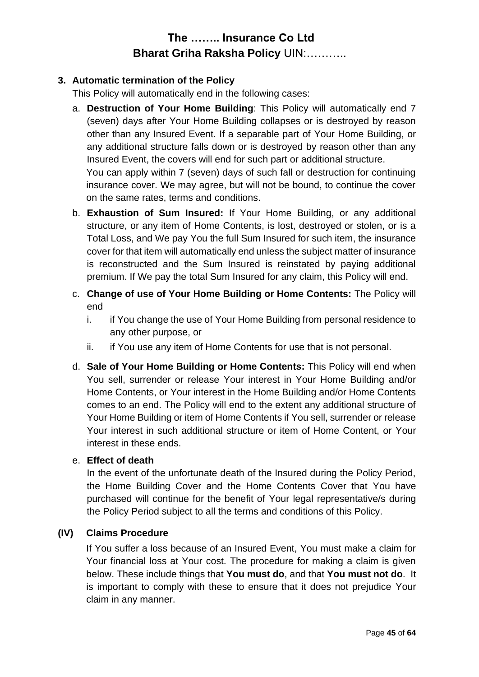#### **3. Automatic termination of the Policy**

This Policy will automatically end in the following cases:

- a. **Destruction of Your Home Building**: This Policy will automatically end 7 (seven) days after Your Home Building collapses or is destroyed by reason other than any Insured Event. If a separable part of Your Home Building, or any additional structure falls down or is destroyed by reason other than any Insured Event, the covers will end for such part or additional structure. You can apply within 7 (seven) days of such fall or destruction for continuing insurance cover. We may agree, but will not be bound, to continue the cover on the same rates, terms and conditions.
- b. **Exhaustion of Sum Insured:** If Your Home Building, or any additional structure, or any item of Home Contents, is lost, destroyed or stolen, or is a Total Loss, and We pay You the full Sum Insured for such item, the insurance cover for that item will automatically end unless the subject matter of insurance is reconstructed and the Sum Insured is reinstated by paying additional premium. If We pay the total Sum Insured for any claim, this Policy will end.
- c. **Change of use of Your Home Building or Home Contents:** The Policy will end
	- i. if You change the use of Your Home Building from personal residence to any other purpose, or
	- ii. if You use any item of Home Contents for use that is not personal.
- d. **Sale of Your Home Building or Home Contents:** This Policy will end when You sell, surrender or release Your interest in Your Home Building and/or Home Contents, or Your interest in the Home Building and/or Home Contents comes to an end. The Policy will end to the extent any additional structure of Your Home Building or item of Home Contents if You sell, surrender or release Your interest in such additional structure or item of Home Content, or Your interest in these ends.

#### e. **Effect of death**

In the event of the unfortunate death of the Insured during the Policy Period, the Home Building Cover and the Home Contents Cover that You have purchased will continue for the benefit of Your legal representative/s during the Policy Period subject to all the terms and conditions of this Policy.

#### **(IV) Claims Procedure**

If You suffer a loss because of an Insured Event, You must make a claim for Your financial loss at Your cost. The procedure for making a claim is given below. These include things that **You must do**, and that **You must not do**. It is important to comply with these to ensure that it does not prejudice Your claim in any manner.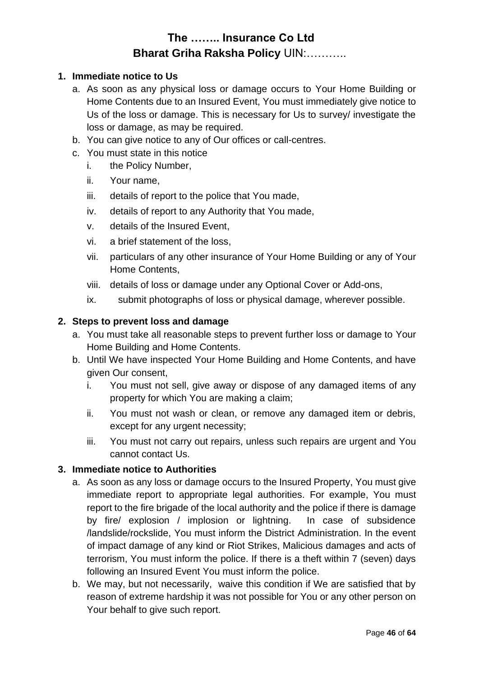#### **1. Immediate notice to Us**

- a. As soon as any physical loss or damage occurs to Your Home Building or Home Contents due to an Insured Event, You must immediately give notice to Us of the loss or damage. This is necessary for Us to survey/ investigate the loss or damage, as may be required.
- b. You can give notice to any of Our offices or call-centres.
- c. You must state in this notice
	- i. the Policy Number,
		- ii. Your name,
		- iii. details of report to the police that You made,
		- iv. details of report to any Authority that You made,
		- v. details of the Insured Event,
		- vi. a brief statement of the loss,
		- vii. particulars of any other insurance of Your Home Building or any of Your Home Contents,
		- viii. details of loss or damage under any Optional Cover or Add-ons,
		- ix. submit photographs of loss or physical damage, wherever possible.

#### **2. Steps to prevent loss and damage**

- a. You must take all reasonable steps to prevent further loss or damage to Your Home Building and Home Contents.
- b. Until We have inspected Your Home Building and Home Contents, and have given Our consent,
	- i. You must not sell, give away or dispose of any damaged items of any property for which You are making a claim;
	- ii. You must not wash or clean, or remove any damaged item or debris, except for any urgent necessity;
	- iii. You must not carry out repairs, unless such repairs are urgent and You cannot contact Us.

#### **3. Immediate notice to Authorities**

- a. As soon as any loss or damage occurs to the Insured Property, You must give immediate report to appropriate legal authorities. For example, You must report to the fire brigade of the local authority and the police if there is damage by fire/ explosion / implosion or lightning. In case of subsidence /landslide/rockslide, You must inform the District Administration. In the event of impact damage of any kind or Riot Strikes, Malicious damages and acts of terrorism, You must inform the police. If there is a theft within 7 (seven) days following an Insured Event You must inform the police.
- b. We may, but not necessarily, waive this condition if We are satisfied that by reason of extreme hardship it was not possible for You or any other person on Your behalf to give such report.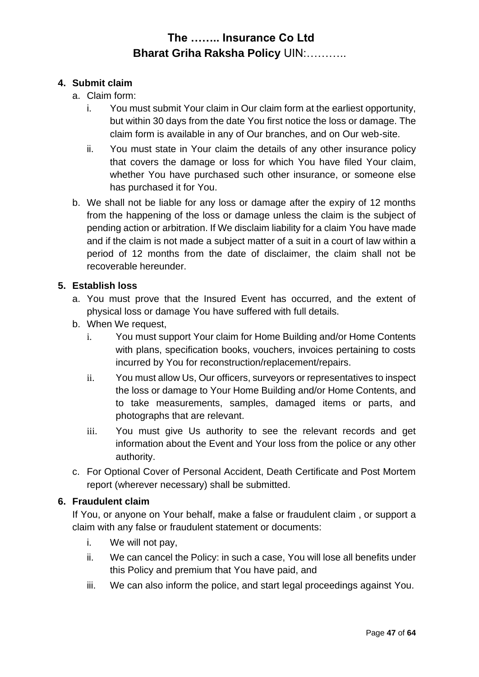#### **4. Submit claim**

- a. Claim form:
	- i. You must submit Your claim in Our claim form at the earliest opportunity, but within 30 days from the date You first notice the loss or damage. The claim form is available in any of Our branches, and on Our web-site.
	- ii. You must state in Your claim the details of any other insurance policy that covers the damage or loss for which You have filed Your claim, whether You have purchased such other insurance, or someone else has purchased it for You.
- b. We shall not be liable for any loss or damage after the expiry of 12 months from the happening of the loss or damage unless the claim is the subject of pending action or arbitration. If We disclaim liability for a claim You have made and if the claim is not made a subject matter of a suit in a court of law within a period of 12 months from the date of disclaimer, the claim shall not be recoverable hereunder.

#### **5. Establish loss**

- a. You must prove that the Insured Event has occurred, and the extent of physical loss or damage You have suffered with full details.
- b. When We request,
	- i. You must support Your claim for Home Building and/or Home Contents with plans, specification books, vouchers, invoices pertaining to costs incurred by You for reconstruction/replacement/repairs.
	- ii. You must allow Us, Our officers, surveyors or representatives to inspect the loss or damage to Your Home Building and/or Home Contents, and to take measurements, samples, damaged items or parts, and photographs that are relevant.
	- iii. You must give Us authority to see the relevant records and get information about the Event and Your loss from the police or any other authority.
- c. For Optional Cover of Personal Accident, Death Certificate and Post Mortem report (wherever necessary) shall be submitted.

#### **6. Fraudulent claim**

If You, or anyone on Your behalf, make a false or fraudulent claim , or support a claim with any false or fraudulent statement or documents:

- i. We will not pay,
- ii. We can cancel the Policy: in such a case, You will lose all benefits under this Policy and premium that You have paid, and
- iii. We can also inform the police, and start legal proceedings against You.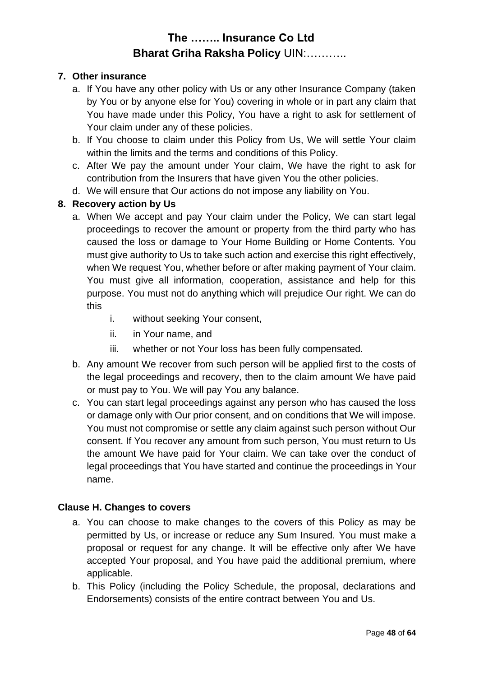#### **7. Other insurance**

- a. If You have any other policy with Us or any other Insurance Company (taken by You or by anyone else for You) covering in whole or in part any claim that You have made under this Policy, You have a right to ask for settlement of Your claim under any of these policies.
- b. If You choose to claim under this Policy from Us, We will settle Your claim within the limits and the terms and conditions of this Policy.
- c. After We pay the amount under Your claim, We have the right to ask for contribution from the Insurers that have given You the other policies.
- d. We will ensure that Our actions do not impose any liability on You.

#### **8. Recovery action by Us**

- a. When We accept and pay Your claim under the Policy, We can start legal proceedings to recover the amount or property from the third party who has caused the loss or damage to Your Home Building or Home Contents. You must give authority to Us to take such action and exercise this right effectively, when We request You, whether before or after making payment of Your claim. You must give all information, cooperation, assistance and help for this purpose. You must not do anything which will prejudice Our right. We can do this
	- i. without seeking Your consent,
	- ii. in Your name, and
	- iii. whether or not Your loss has been fully compensated.
- b. Any amount We recover from such person will be applied first to the costs of the legal proceedings and recovery, then to the claim amount We have paid or must pay to You. We will pay You any balance.
- c. You can start legal proceedings against any person who has caused the loss or damage only with Our prior consent, and on conditions that We will impose. You must not compromise or settle any claim against such person without Our consent. If You recover any amount from such person, You must return to Us the amount We have paid for Your claim. We can take over the conduct of legal proceedings that You have started and continue the proceedings in Your name.

#### **Clause H. Changes to covers**

- a. You can choose to make changes to the covers of this Policy as may be permitted by Us, or increase or reduce any Sum Insured. You must make a proposal or request for any change. It will be effective only after We have accepted Your proposal, and You have paid the additional premium, where applicable.
- b. This Policy (including the Policy Schedule, the proposal, declarations and Endorsements) consists of the entire contract between You and Us.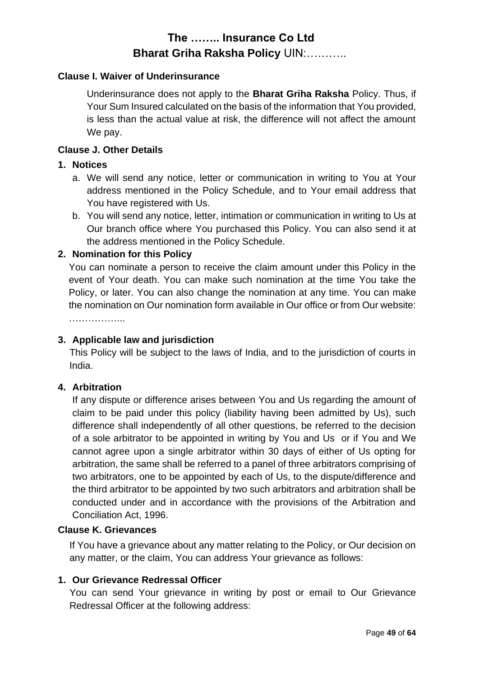#### **Clause I. Waiver of Underinsurance**

Underinsurance does not apply to the **Bharat Griha Raksha** Policy. Thus, if Your Sum Insured calculated on the basis of the information that You provided, is less than the actual value at risk, the difference will not affect the amount We pay.

#### **Clause J. Other Details**

#### **1. Notices**

- a. We will send any notice, letter or communication in writing to You at Your address mentioned in the Policy Schedule, and to Your email address that You have registered with Us.
- b. You will send any notice, letter, intimation or communication in writing to Us at Our branch office where You purchased this Policy. You can also send it at the address mentioned in the Policy Schedule.

#### **2. Nomination for this Policy**

You can nominate a person to receive the claim amount under this Policy in the event of Your death. You can make such nomination at the time You take the Policy, or later. You can also change the nomination at any time. You can make the nomination on Our nomination form available in Our office or from Our website: ……………...

#### **3. Applicable law and jurisdiction**

This Policy will be subject to the laws of India, and to the jurisdiction of courts in India.

#### **4. Arbitration**

If any dispute or difference arises between You and Us regarding the amount of claim to be paid under this policy (liability having been admitted by Us), such difference shall independently of all other questions, be referred to the decision of a sole arbitrator to be appointed in writing by You and Us or if You and We cannot agree upon a single arbitrator within 30 days of either of Us opting for arbitration, the same shall be referred to a panel of three arbitrators comprising of two arbitrators, one to be appointed by each of Us, to the dispute/difference and the third arbitrator to be appointed by two such arbitrators and arbitration shall be conducted under and in accordance with the provisions of the Arbitration and Conciliation Act, 1996.

#### **Clause K. Grievances**

If You have a grievance about any matter relating to the Policy, or Our decision on any matter, or the claim, You can address Your grievance as follows:

#### **1. Our Grievance Redressal Officer**

You can send Your grievance in writing by post or email to Our Grievance Redressal Officer at the following address: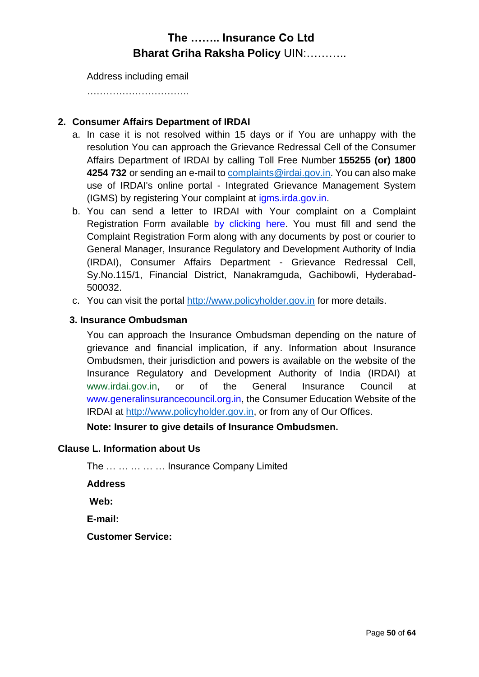Address including email

…………………………..

#### **2. Consumer Affairs Department of IRDAI**

- a. In case it is not resolved within 15 days or if You are unhappy with the resolution You can approach the Grievance Redressal Cell of the Consumer Affairs Department of IRDAI by calling Toll Free Number **155255 (or) 1800 4254 732** or sending an e-mail to [complaints@irdai.gov.in.](mailto:complaints@irdai.gov.in) You can also make use of IRDAI's online portal - Integrated Grievance Management System (IGMS) by registering Your complaint at [igms.irda.gov.in.](http://igms.irda.gov.in/)
- b. You can send a letter to IRDAI with Your complaint on a Complaint Registration Form available [by clicking here.](http://www.policyholder.gov.in/uploads/CEDocuments/complaintform.pdf) You must fill and send the Complaint Registration Form along with any documents by post or courier to General Manager, Insurance Regulatory and Development Authority of India (IRDAI), Consumer Affairs Department - Grievance Redressal Cell, Sy.No.115/1, Financial District, Nanakramguda, Gachibowli, Hyderabad-500032.
- c. You can visit the portal [http://www.policyholder.gov.in](http://www.policyholder.gov.in/) for more details.

#### **3. Insurance Ombudsman**

You can approach the Insurance Ombudsman depending on the nature of grievance and financial implication, if any. Information about Insurance Ombudsmen, their jurisdiction and powers is available on the website of the Insurance Regulatory and Development Authority of India (IRDAI) at [www.irdai.gov.in,](http://www.irdaindia.org/) or of the General Insurance Council at [www.generalinsurancecouncil.org.in,](http://www.generalinsurancecouncil.org.in/) the Consumer Education Website of the IRDAI at [http://www.policyholder.gov.in,](http://www.policyholder.gov.in/) or from any of Our Offices.

**Note: Insurer to give details of Insurance Ombudsmen.**

#### **Clause L. Information about Us**

The … … … … … Insurance Company Limited

**Address** 

**Web:** 

**E-mail:** 

**Customer Service:**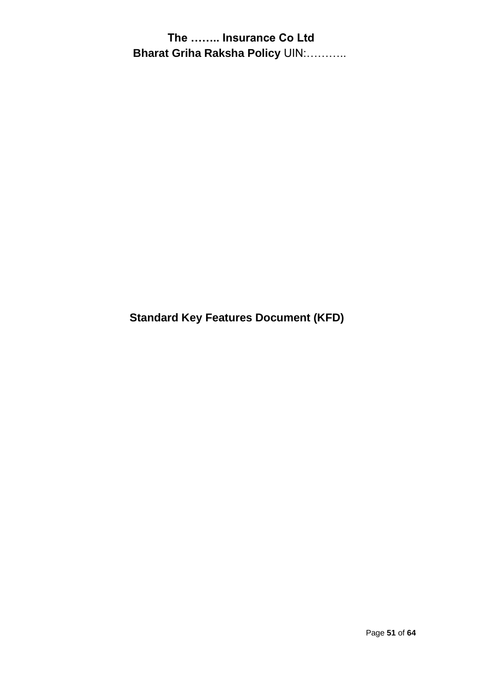**Standard Key Features Document (KFD)**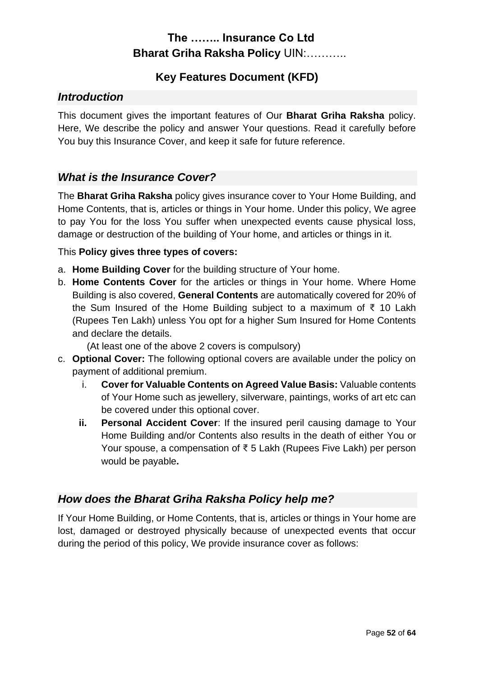### **Key Features Document (KFD)**

### *Introduction*

This document gives the important features of Our **Bharat Griha Raksha** policy. Here, We describe the policy and answer Your questions. Read it carefully before You buy this Insurance Cover, and keep it safe for future reference.

### *What is the Insurance Cover?*

The **Bharat Griha Raksha** policy gives insurance cover to Your Home Building, and Home Contents, that is, articles or things in Your home. Under this policy, We agree to pay You for the loss You suffer when unexpected events cause physical loss, damage or destruction of the building of Your home, and articles or things in it.

#### This **Policy gives three types of covers:**

- a. **Home Building Cover** for the building structure of Your home.
- b. **Home Contents Cover** for the articles or things in Your home. Where Home Building is also covered, **General Contents** are automatically covered for 20% of the Sum Insured of the Home Building subject to a maximum of ₹ 10 Lakh (Rupees Ten Lakh) unless You opt for a higher Sum Insured for Home Contents and declare the details.

(At least one of the above 2 covers is compulsory)

- c. **Optional Cover:** The following optional covers are available under the policy on payment of additional premium.
	- i. **Cover for Valuable Contents on Agreed Value Basis:** Valuable contents of Your Home such as jewellery, silverware, paintings, works of art etc can be covered under this optional cover.
	- **ii. Personal Accident Cover**: If the insured peril causing damage to Your Home Building and/or Contents also results in the death of either You or Your spouse, a compensation of ₹ 5 Lakh (Rupees Five Lakh) per person would be payable**.**

### *How does the Bharat Griha Raksha Policy help me?*

If Your Home Building, or Home Contents, that is, articles or things in Your home are lost, damaged or destroyed physically because of unexpected events that occur during the period of this policy, We provide insurance cover as follows: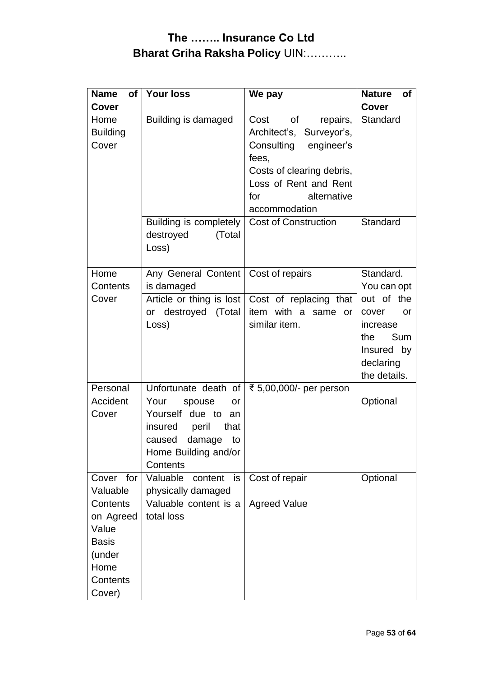| <b>Name</b><br><b>of</b><br>Cover                                                      | <b>Your loss</b>                                                                                                                                                                           | We pay                                                                                                                                                                                  | <b>Nature</b><br>of<br><b>Cover</b>                                                                                        |  |
|----------------------------------------------------------------------------------------|--------------------------------------------------------------------------------------------------------------------------------------------------------------------------------------------|-----------------------------------------------------------------------------------------------------------------------------------------------------------------------------------------|----------------------------------------------------------------------------------------------------------------------------|--|
| Home<br><b>Building</b><br>Cover                                                       | Building is damaged                                                                                                                                                                        | Cost<br>of<br>repairs,<br>Architect's,<br>Surveyor's,<br>Consulting<br>engineer's<br>fees,<br>Costs of clearing debris,<br>Loss of Rent and Rent<br>for<br>alternative<br>accommodation | Standard                                                                                                                   |  |
|                                                                                        | Building is completely<br>destroyed<br>(Total<br>Loss)                                                                                                                                     | <b>Cost of Construction</b>                                                                                                                                                             | Standard                                                                                                                   |  |
| Home<br>Contents                                                                       | Any General Content<br>is damaged                                                                                                                                                          | Cost of repairs                                                                                                                                                                         | Standard.<br>You can opt<br>out of the<br>cover<br>or<br>increase<br>the<br>Sum<br>Insured by<br>declaring<br>the details. |  |
| Cover                                                                                  | or destroyed (Total<br>Loss)                                                                                                                                                               | Article or thing is lost Cost of replacing that<br>item with a same or<br>similar item.                                                                                                 |                                                                                                                            |  |
| Personal<br>Accident<br>Cover                                                          | ₹ 5,00,000/- per person<br>Unfortunate death of<br>Your<br>spouse<br>or<br>Yourself due to<br>an<br>insured<br>peril<br>that<br>damage<br>caused<br>to<br>Home Building and/or<br>Contents |                                                                                                                                                                                         | Optional                                                                                                                   |  |
| Cover<br>for<br>Valuable                                                               | Valuable<br>content<br>is<br>physically damaged                                                                                                                                            | Cost of repair                                                                                                                                                                          | Optional                                                                                                                   |  |
| Contents<br>on Agreed<br>Value<br><b>Basis</b><br>(under<br>Home<br>Contents<br>Cover) | Valuable content is a<br>total loss                                                                                                                                                        | <b>Agreed Value</b>                                                                                                                                                                     |                                                                                                                            |  |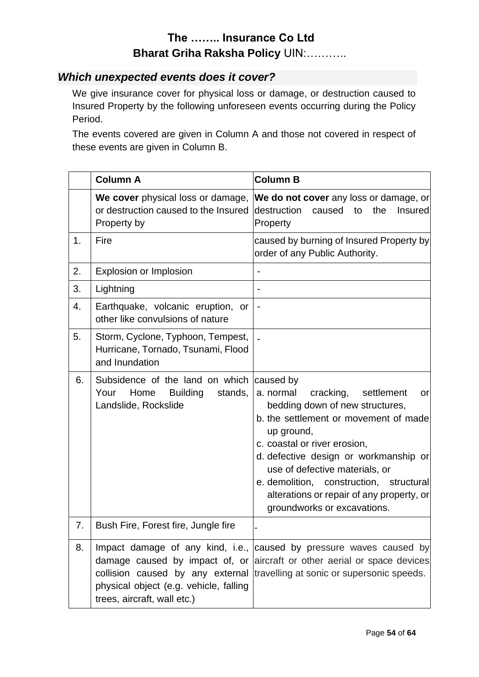### *Which unexpected events does it cover?*

We give insurance cover for physical loss or damage, or destruction caused to Insured Property by the following unforeseen events occurring during the Policy Period.

The events covered are given in Column A and those not covered in respect of these events are given in Column B.

|    | <b>Column A</b>                                                                                       | <b>Column B</b>                                                                                                                                                                                                                                                                                                                                                                     |
|----|-------------------------------------------------------------------------------------------------------|-------------------------------------------------------------------------------------------------------------------------------------------------------------------------------------------------------------------------------------------------------------------------------------------------------------------------------------------------------------------------------------|
|    | We cover physical loss or damage,<br>or destruction caused to the Insured<br>Property by              | We do not cover any loss or damage, or<br>destruction<br>caused<br>the<br><b>Insured</b><br>to<br>Property                                                                                                                                                                                                                                                                          |
| 1. | Fire                                                                                                  | caused by burning of Insured Property by<br>order of any Public Authority.                                                                                                                                                                                                                                                                                                          |
| 2. | Explosion or Implosion                                                                                |                                                                                                                                                                                                                                                                                                                                                                                     |
| 3. | Lightning                                                                                             |                                                                                                                                                                                                                                                                                                                                                                                     |
| 4. | Earthquake, volcanic eruption, or<br>other like convulsions of nature                                 | $\qquad \qquad \blacksquare$                                                                                                                                                                                                                                                                                                                                                        |
| 5. | Storm, Cyclone, Typhoon, Tempest,<br>Hurricane, Tornado, Tsunami, Flood<br>and Inundation             |                                                                                                                                                                                                                                                                                                                                                                                     |
| 6. | Subsidence of the land on which<br>Home<br><b>Building</b><br>Your<br>stands,<br>Landslide, Rockslide | caused by<br>a. normal<br>cracking,<br>settlement<br>or<br>bedding down of new structures,<br>b. the settlement or movement of made<br>up ground,<br>c. coastal or river erosion,<br>d. defective design or workmanship or<br>use of defective materials, or<br>e. demolition, construction, structural<br>alterations or repair of any property, or<br>groundworks or excavations. |
| 7. | Bush Fire, Forest fire, Jungle fire                                                                   |                                                                                                                                                                                                                                                                                                                                                                                     |
| 8. | physical object (e.g. vehicle, falling<br>trees, aircraft, wall etc.)                                 | Impact damage of any kind, i.e., caused by pressure waves caused by<br>damage caused by impact of, or aircraft or other aerial or space devices<br>collision caused by any external travelling at sonic or supersonic speeds.                                                                                                                                                       |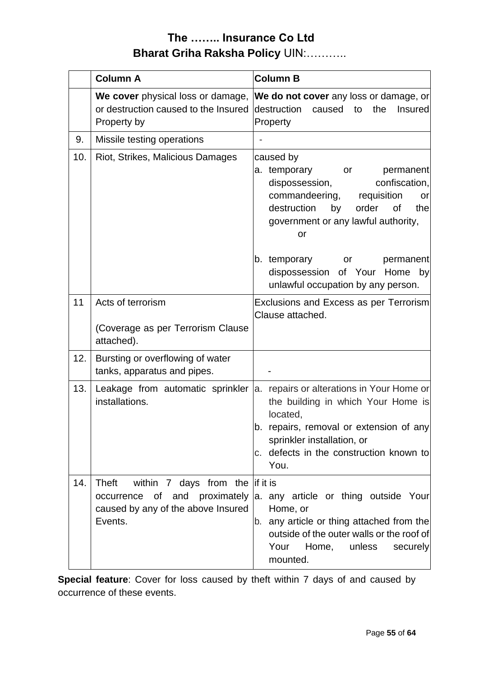|     | <b>Column A</b>                                                                             | <b>Column B</b>                                                                                                                                                                                                                                          |  |  |
|-----|---------------------------------------------------------------------------------------------|----------------------------------------------------------------------------------------------------------------------------------------------------------------------------------------------------------------------------------------------------------|--|--|
|     | or destruction caused to the Insured<br>Property by                                         | We cover physical loss or damage, We do not cover any loss or damage, or<br>destruction<br>caused<br>the<br><b>Insured</b><br>to<br>Property                                                                                                             |  |  |
| 9.  | Missile testing operations                                                                  |                                                                                                                                                                                                                                                          |  |  |
| 10. | Riot, Strikes, Malicious Damages                                                            | caused by<br>a. temporary<br>permanent<br>or<br>dispossession,<br>confiscation,<br>commandeering, requisition<br>or<br>destruction<br>by<br>order<br>0f<br>the<br>government or any lawful authority,<br>or<br>b. temporary<br>or<br>permanent           |  |  |
|     |                                                                                             | dispossession of Your Home by<br>unlawful occupation by any person.                                                                                                                                                                                      |  |  |
| 11  | Acts of terrorism<br>(Coverage as per Terrorism Clause<br>attached).                        | Exclusions and Excess as per Terrorism<br>Clause attached.                                                                                                                                                                                               |  |  |
| 12. | Bursting or overflowing of water<br>tanks, apparatus and pipes.                             |                                                                                                                                                                                                                                                          |  |  |
| 13. | installations.                                                                              | Leakage from automatic sprinkler a. repairs or alterations in Your Home or<br>the building in which Your Home is<br>located,<br>b. repairs, removal or extension of any<br>sprinkler installation, or<br>c. defects in the construction known to<br>You. |  |  |
| 14. | within $7$ days from the if it is<br>Theft<br>caused by any of the above Insured<br>Events. | occurrence of and proximately a. any article or thing outside Your<br>Home, or<br>b. any article or thing attached from the<br>outside of the outer walls or the roof of<br>Your<br>Home,<br>unless<br>securely<br>mounted.                              |  |  |

**Special feature**: Cover for loss caused by theft within 7 days of and caused by occurrence of these events.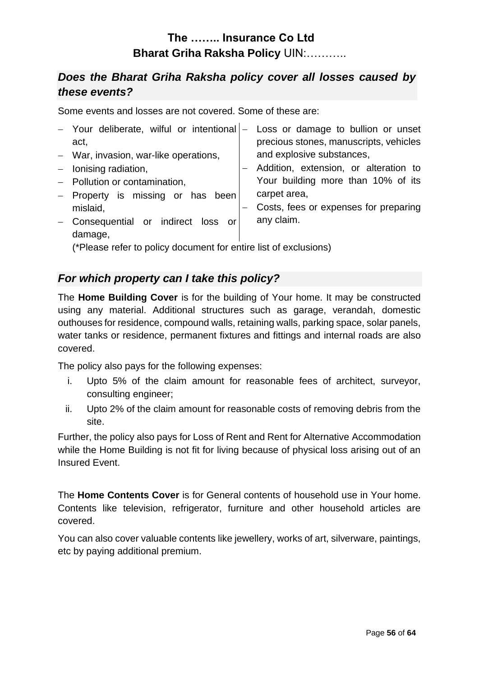### *Does the Bharat Griha Raksha policy cover all losses caused by these events?*

Some events and losses are not covered. Some of these are:

| - Your deliberate, wilful or intentional  - Loss or damage to bullion or unset |                                        |
|--------------------------------------------------------------------------------|----------------------------------------|
| act,                                                                           | precious stones, manuscripts, vehicles |
| - War, invasion, war-like operations,                                          | and explosive substances,              |
| $-$ lonising radiation,                                                        | Addition, extension, or alteration to  |
| - Pollution or contamination,                                                  | Your building more than 10% of its     |
| - Property is missing or has been                                              | carpet area,                           |
| mislaid,                                                                       | Costs, fees or expenses for preparing  |
| - Consequential or indirect loss or<br>damage,                                 | any claim.                             |

(\*Please refer to policy document for entire list of exclusions)

### *For which property can I take this policy?*

The **Home Building Cover** is for the building of Your home. It may be constructed using any material. Additional structures such as garage, verandah, domestic outhouses for residence, compound walls, retaining walls, parking space, solar panels, water tanks or residence, permanent fixtures and fittings and internal roads are also covered.

The policy also pays for the following expenses:

- i. Upto 5% of the claim amount for reasonable fees of architect, surveyor, consulting engineer;
- ii. Upto 2% of the claim amount for reasonable costs of removing debris from the site.

Further, the policy also pays for Loss of Rent and Rent for Alternative Accommodation while the Home Building is not fit for living because of physical loss arising out of an Insured Event.

The **Home Contents Cover** is for General contents of household use in Your home. Contents like television, refrigerator, furniture and other household articles are covered.

You can also cover valuable contents like jewellery, works of art, silverware, paintings, etc by paying additional premium.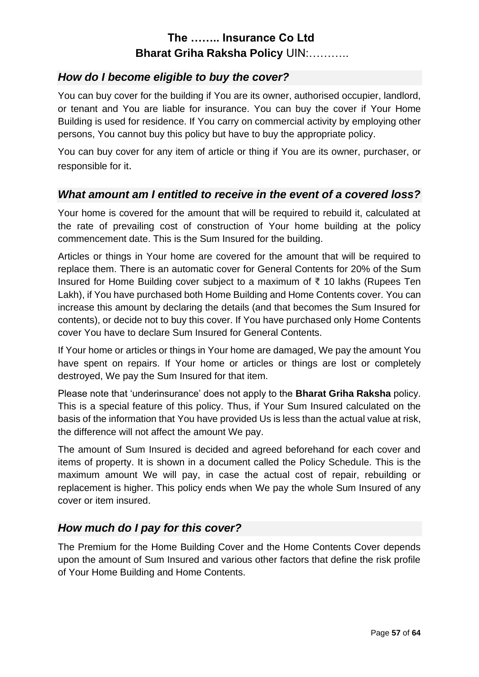### *How do I become eligible to buy the cover?*

You can buy cover for the building if You are its owner, authorised occupier, landlord, or tenant and You are liable for insurance. You can buy the cover if Your Home Building is used for residence. If You carry on commercial activity by employing other persons, You cannot buy this policy but have to buy the appropriate policy.

You can buy cover for any item of article or thing if You are its owner, purchaser, or responsible for it.

### *What amount am I entitled to receive in the event of a covered loss?*

Your home is covered for the amount that will be required to rebuild it, calculated at the rate of prevailing cost of construction of Your home building at the policy commencement date. This is the Sum Insured for the building.

Articles or things in Your home are covered for the amount that will be required to replace them. There is an automatic cover for General Contents for 20% of the Sum Insured for Home Building cover subject to a maximum of ₹ 10 lakhs (Rupees Ten Lakh), if You have purchased both Home Building and Home Contents cover. You can increase this amount by declaring the details (and that becomes the Sum Insured for contents), or decide not to buy this cover. If You have purchased only Home Contents cover You have to declare Sum Insured for General Contents.

If Your home or articles or things in Your home are damaged, We pay the amount You have spent on repairs. If Your home or articles or things are lost or completely destroyed, We pay the Sum Insured for that item.

Please note that 'underinsurance' does not apply to the **Bharat Griha Raksha** policy. This is a special feature of this policy. Thus, if Your Sum Insured calculated on the basis of the information that You have provided Us is less than the actual value at risk, the difference will not affect the amount We pay.

The amount of Sum Insured is decided and agreed beforehand for each cover and items of property. It is shown in a document called the Policy Schedule. This is the maximum amount We will pay, in case the actual cost of repair, rebuilding or replacement is higher. This policy ends when We pay the whole Sum Insured of any cover or item insured.

### *How much do I pay for this cover?*

The Premium for the Home Building Cover and the Home Contents Cover depends upon the amount of Sum Insured and various other factors that define the risk profile of Your Home Building and Home Contents.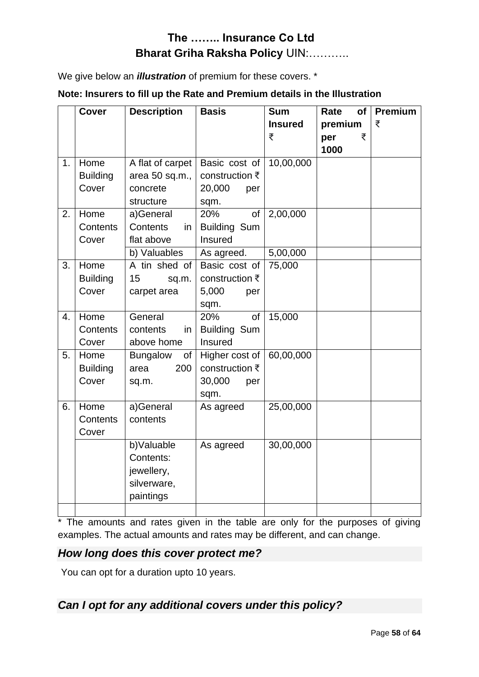We give below an *illustration* of premium for these covers. \*

|  | Note: Insurers to fill up the Rate and Premium details in the Illustration |  |
|--|----------------------------------------------------------------------------|--|
|--|----------------------------------------------------------------------------|--|

|    | <b>Cover</b>                     | <b>Description</b>                                                | <b>Basis</b>                                                          | <b>Sum</b><br><b>Insured</b><br>₹ | Rate<br>of<br>premium<br>₹<br>per<br>1000 | Premium<br>₹ |
|----|----------------------------------|-------------------------------------------------------------------|-----------------------------------------------------------------------|-----------------------------------|-------------------------------------------|--------------|
| 1. | Home<br><b>Building</b><br>Cover | A flat of carpet<br>area 50 sq.m.,<br>concrete<br>structure       | Basic cost of<br>construction ₹<br>20,000<br>per<br>sqm.              | 10,00,000                         |                                           |              |
| 2. | Home<br>Contents<br>Cover        | a)General<br>Contents<br>in<br>flat above                         | 20%<br>of<br><b>Building Sum</b><br>Insured                           | 2,00,000                          |                                           |              |
| 3. | Home<br><b>Building</b><br>Cover | b) Valuables<br>A tin shed of<br>15<br>sq.m.<br>carpet area       | As agreed.<br>Basic cost of<br>construction ₹<br>5,000<br>per<br>sqm. | 5,00,000<br>75,000                |                                           |              |
| 4. | Home<br>Contents<br>Cover        | General<br>contents<br>in.<br>above home                          | 20%<br>of<br><b>Building Sum</b><br>Insured                           | 15,000                            |                                           |              |
| 5. | Home<br><b>Building</b><br>Cover | <b>Bungalow</b><br>of<br>200<br>area<br>sq.m.                     | Higher cost of<br>construction ₹<br>30,000<br>per<br>sqm.             | 60,00,000                         |                                           |              |
| 6. | Home<br>Contents<br>Cover        | a)General<br>contents                                             | As agreed                                                             | 25,00,000                         |                                           |              |
|    |                                  | b)Valuable<br>Contents:<br>jewellery,<br>silverware,<br>paintings | As agreed                                                             | 30,00,000                         |                                           |              |

\* The amounts and rates given in the table are only for the purposes of giving examples. The actual amounts and rates may be different, and can change.

#### *How long does this cover protect me?*

You can opt for a duration upto 10 years.

### *Can I opt for any additional covers under this policy?*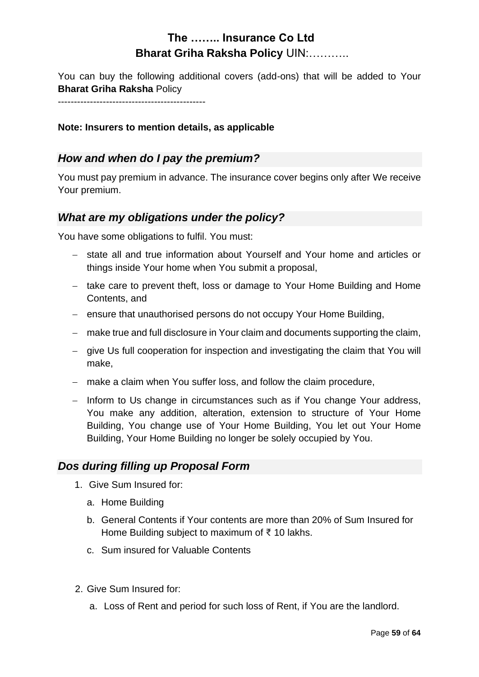You can buy the following additional covers (add-ons) that will be added to Your **Bharat Griha Raksha** Policy

 $-$ 

#### **Note: Insurers to mention details, as applicable**

### *How and when do I pay the premium?*

You must pay premium in advance. The insurance cover begins only after We receive Your premium.

### *What are my obligations under the policy?*

You have some obligations to fulfil. You must:

- − state all and true information about Yourself and Your home and articles or things inside Your home when You submit a proposal,
- − take care to prevent theft, loss or damage to Your Home Building and Home Contents, and
- − ensure that unauthorised persons do not occupy Your Home Building,
- − make true and full disclosure in Your claim and documents supporting the claim,
- − give Us full cooperation for inspection and investigating the claim that You will make,
- − make a claim when You suffer loss, and follow the claim procedure,
- − Inform to Us change in circumstances such as if You change Your address, You make any addition, alteration, extension to structure of Your Home Building, You change use of Your Home Building, You let out Your Home Building, Your Home Building no longer be solely occupied by You.

#### *Dos during filling up Proposal Form*

- 1. Give Sum Insured for:
	- a. Home Building
	- b. General Contents if Your contents are more than 20% of Sum Insured for Home Building subject to maximum of ₹ 10 lakhs.
	- c. Sum insured for Valuable Contents
- 2. Give Sum Insured for:
	- a. Loss of Rent and period for such loss of Rent, if You are the landlord.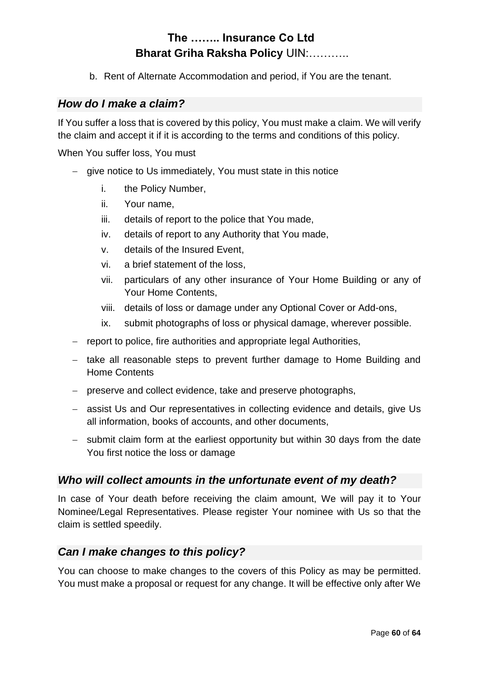b. Rent of Alternate Accommodation and period, if You are the tenant.

#### *How do I make a claim?*

If You suffer a loss that is covered by this policy, You must make a claim. We will verify the claim and accept it if it is according to the terms and conditions of this policy.

When You suffer loss, You must

- − give notice to Us immediately, You must state in this notice
	- i. the Policy Number,
	- ii. Your name,
	- iii. details of report to the police that You made,
	- iv. details of report to any Authority that You made,
	- v. details of the Insured Event,
	- vi. a brief statement of the loss,
	- vii. particulars of any other insurance of Your Home Building or any of Your Home Contents,
	- viii. details of loss or damage under any Optional Cover or Add-ons,
	- ix. submit photographs of loss or physical damage, wherever possible.
- − report to police, fire authorities and appropriate legal Authorities,
- − take all reasonable steps to prevent further damage to Home Building and Home Contents
- − preserve and collect evidence, take and preserve photographs,
- − assist Us and Our representatives in collecting evidence and details, give Us all information, books of accounts, and other documents,
- − submit claim form at the earliest opportunity but within 30 days from the date You first notice the loss or damage

#### *Who will collect amounts in the unfortunate event of my death?*

In case of Your death before receiving the claim amount, We will pay it to Your Nominee/Legal Representatives. Please register Your nominee with Us so that the claim is settled speedily.

#### *Can I make changes to this policy?*

You can choose to make changes to the covers of this Policy as may be permitted. You must make a proposal or request for any change. It will be effective only after We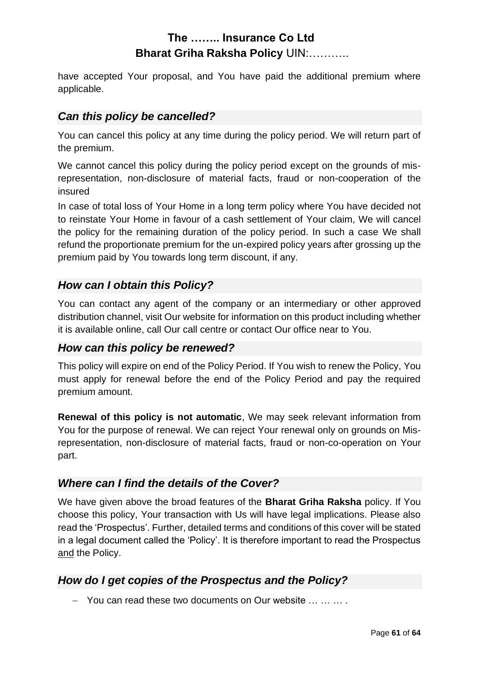have accepted Your proposal, and You have paid the additional premium where applicable.

### *Can this policy be cancelled?*

You can cancel this policy at any time during the policy period. We will return part of the premium.

We cannot cancel this policy during the policy period except on the grounds of misrepresentation, non-disclosure of material facts, fraud or non-cooperation of the insured

In case of total loss of Your Home in a long term policy where You have decided not to reinstate Your Home in favour of a cash settlement of Your claim, We will cancel the policy for the remaining duration of the policy period. In such a case We shall refund the proportionate premium for the un-expired policy years after grossing up the premium paid by You towards long term discount, if any.

### *How can I obtain this Policy?*

You can contact any agent of the company or an intermediary or other approved distribution channel, visit Our website for information on this product including whether it is available online, call Our call centre or contact Our office near to You.

### *How can this policy be renewed?*

This policy will expire on end of the Policy Period. If You wish to renew the Policy, You must apply for renewal before the end of the Policy Period and pay the required premium amount.

**Renewal of this policy is not automatic**, We may seek relevant information from You for the purpose of renewal. We can reject Your renewal only on grounds on Misrepresentation, non-disclosure of material facts, fraud or non-co-operation on Your part.

### *Where can I find the details of the Cover?*

We have given above the broad features of the **Bharat Griha Raksha** policy. If You choose this policy, Your transaction with Us will have legal implications. Please also read the 'Prospectus'. Further, detailed terms and conditions of this cover will be stated in a legal document called the 'Policy'. It is therefore important to read the Prospectus and the Policy.

### *How do I get copies of the Prospectus and the Policy?*

− You can read these two documents on Our website … … … .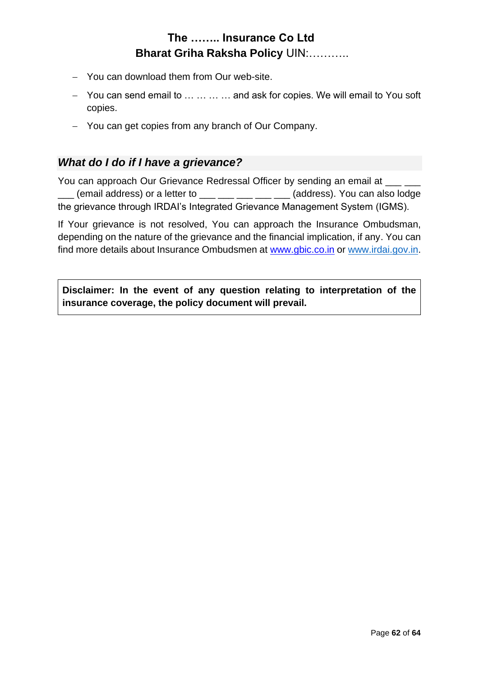- − You can download them from Our web-site.
- − You can send email to … … … … and ask for copies. We will email to You soft copies.
- − You can get copies from any branch of Our Company.

### *What do I do if I have a grievance?*

You can approach Our Grievance Redressal Officer by sending an email at \_\_\_\_\_\_\_\_  $\frac{1}{2}$  (email address) or a letter to  $\frac{1}{2}$   $\frac{1}{2}$   $\frac{1}{2}$   $\frac{1}{2}$  (address). You can also lodge the grievance through IRDAI's Integrated Grievance Management System (IGMS).

If Your grievance is not resolved, You can approach the Insurance Ombudsman, depending on the nature of the grievance and the financial implication, if any. You can find more details about Insurance Ombudsmen at [www.gbic.co.in](http://www.gbic.co.in/) or [www.irdai.gov.in.](http://www.irdai.gov.in/)

**Disclaimer: In the event of any question relating to interpretation of the insurance coverage, the policy document will prevail.**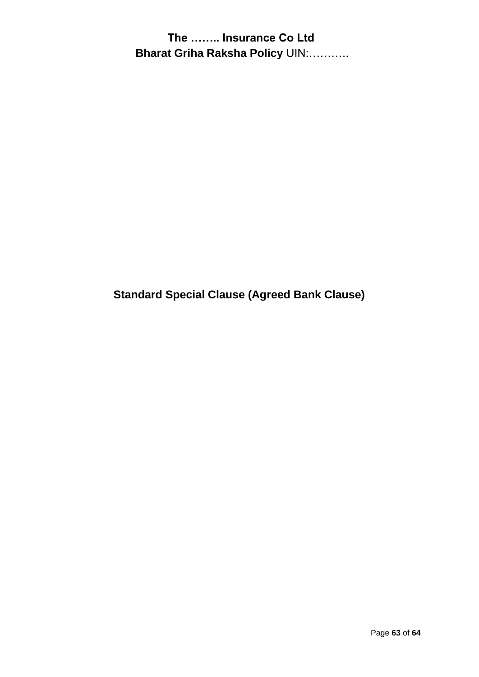**Standard Special Clause (Agreed Bank Clause)**